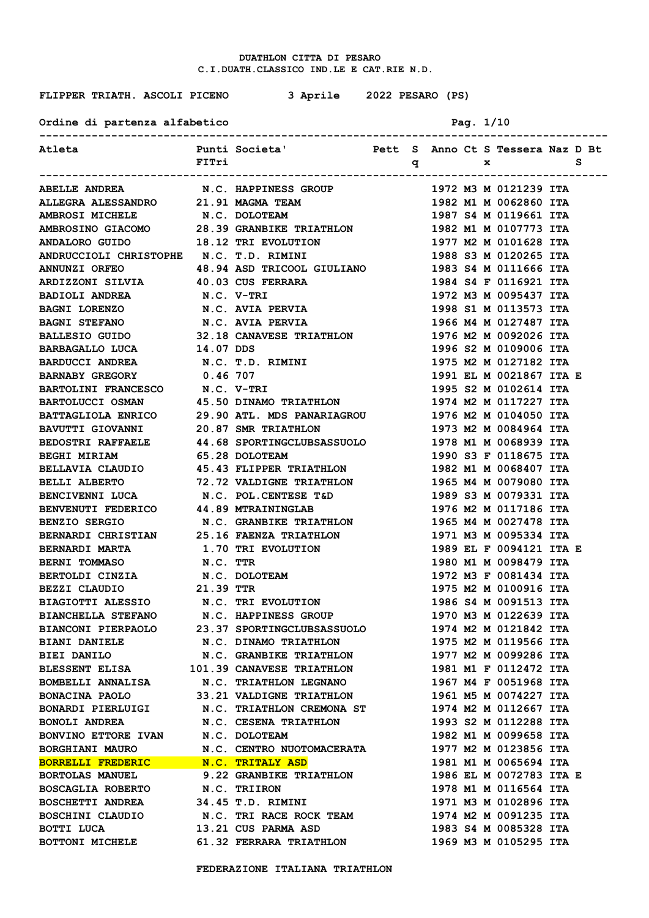**FLIPPER TRIATH. ASCOLI PICENO 3 Aprile 2022 PESARO (PS)**

Ordine di partenza alfabetico **Pag. 1/10** 

| Atleta                                                           | FITri      | Punti Societa' Mett S Anno Ct S Tessera Naz D Bt  |                  |     |  |                         | - S |  |
|------------------------------------------------------------------|------------|---------------------------------------------------|------------------|-----|--|-------------------------|-----|--|
|                                                                  |            |                                                   | ---------------- | q x |  |                         |     |  |
| <b>ABELLE ANDREA</b>                                             |            | <b>N.C. HAPPINESS GROUP</b>                       |                  |     |  | 1972 M3 M 0121239 ITA   |     |  |
| ALLEGRA ALESSANDRO 21.91 MAGMA TEAM                              |            |                                                   |                  |     |  | 1982 M1 M 0062860 ITA   |     |  |
| <b>AMBROSI MICHELE</b>                                           |            | <b>N.C. DOLOTEAM</b>                              |                  |     |  | 1987 S4 M 0119661 ITA   |     |  |
| AMBROSINO GIACOMO 28.39 GRANBIKE TRIATHLON 1982 M1 M 0107773 ITA |            |                                                   |                  |     |  |                         |     |  |
| <b>ANDALORO GUIDO</b>                                            |            | <b>18.12 TRI EVOLUTION</b>                        |                  |     |  | 1977 M2 M 0101628 ITA   |     |  |
| ANDRUCCIOLI CHRISTOPHE N.C. T.D. RIMINI                          |            |                                                   |                  |     |  | 1988 S3 M 0120265 ITA   |     |  |
| <b>ANNUNZI ORFEO</b>                                             |            | 48.94 ASD TRICOOL GIULIANO  1983 S4 M 0111666 ITA |                  |     |  |                         |     |  |
| ARDIZZONI SILVIA 40.03 CUS FERRARA                               |            |                                                   |                  |     |  | 1984 S4 F 0116921 ITA   |     |  |
| <b>BADIOLI ANDREA</b>                                            | N.C. V-TRI |                                                   |                  |     |  | 1972 M3 M 0095437 ITA   |     |  |
| BAGNI LORENZO           N.C. AVIA PERVIA                         |            |                                                   |                  |     |  | 1998 S1 M 0113573 ITA   |     |  |
| BAGNI STEFANO N.C. AVIA PERVIA                                   |            |                                                   |                  |     |  | 1966 M4 M 0127487 ITA   |     |  |
| BALLESIO GUIDO 32.18 CANAVESE TRIATHLON                          |            |                                                   |                  |     |  | 1976 M2 M 0092026 ITA   |     |  |
| BARBAGALLO LUCA 14.07 DDS                                        |            |                                                   |                  |     |  | 1996 S2 M 0109006 ITA   |     |  |
| BARDUCCI ANDREA N.C. T.D. RIMINI                                 |            |                                                   |                  |     |  | 1975 M2 M 0127182 ITA   |     |  |
| BARNABY GREGORY 0.46 707                                         |            |                                                   |                  |     |  | 1991 EL M 0021867 ITA E |     |  |
| BARTOLINI FRANCESCO N.C. V-TRI                                   |            |                                                   |                  |     |  | 1995 S2 M 0102614 ITA   |     |  |
| <b>BARTOLUCCI OSMAN</b>                                          |            | <b>45.50 DINAMO TRIATHLON</b>                     |                  |     |  | 1974 M2 M 0117227 ITA   |     |  |
| <b>BATTAGLIOLA ENRICO</b>                                        |            | 29.90 ATL. MDS PANARIAGROU                        |                  |     |  | 1976 M2 M 0104050 ITA   |     |  |
| <b>BAVUTTI GIOVANNI</b>                                          |            | 20.87 SMR TRIATHLON                               |                  |     |  | 1973 M2 M 0084964 ITA   |     |  |
| <b>BEDOSTRI RAFFAELE</b>                                         |            | <b>44.68 SPORTINGCLUBSASSUOLO</b>                 |                  |     |  | 1978 M1 M 0068939 ITA   |     |  |
| <b>BEGHI MIRIAM</b>                                              |            | <b>65.28 DOLOTEAM</b>                             |                  |     |  | 1990 S3 F 0118675 ITA   |     |  |
| BELLAVIA CLAUDIO                                                 |            | 45.43 FLIPPER TRIATHLON                           |                  |     |  | 1982 M1 M 0068407 ITA   |     |  |
| <b>BELLI ALBERTO</b>                                             |            | 72.72 VALDIGNE TRIATHLON                          |                  |     |  | 1965 M4 M 0079080 ITA   |     |  |
| <b>BENCIVENNI LUCA</b>                                           |            | N.C. POL.CENTESE T&D                              |                  |     |  | 1989 S3 M 0079331 ITA   |     |  |
| <b>BENVENUTI FEDERICO</b>                                        |            | 44.89 MTRAININGLAB                                |                  |     |  | 1976 M2 M 0117186 ITA   |     |  |
| <b>BENZIO SERGIO</b>                                             |            | <b>N.C. GRANBIKE TRIATHLON</b>                    |                  |     |  | 1965 M4 M 0027478 ITA   |     |  |
| BERNARDI CHRISTIAN 25.16 FAENZA TRIATHLON                        |            |                                                   |                  |     |  | 1971 M3 M 0095334 ITA   |     |  |
| <b>BERNARDI MARTA</b>                                            |            | <b>1.70 TRI EVOLUTION</b>                         |                  |     |  | 1989 EL F 0094121 ITA E |     |  |
| <b>BERNI TOMMASO</b>                                             | N.C. TTR   |                                                   |                  |     |  | 1980 M1 M 0098479 ITA   |     |  |
| BERTOLDI CINZIA N.C. DOLOTEAM                                    |            |                                                   |                  |     |  | 1972 M3 F 0081434 ITA   |     |  |
| BEZZI CLAUDIO 21.39 TTR                                          |            |                                                   |                  |     |  | 1975 M2 M 0100916 ITA   |     |  |
| BIAGIOTTI ALESSIO N.C. TRI EVOLUTION                             |            |                                                   |                  |     |  | 1986 S4 M 0091513 ITA   |     |  |
| BIANCHELLA STEFANO N.C. HAPPINESS GROUP                          |            |                                                   |                  |     |  | 1970 M3 M 0122639 ITA   |     |  |
| BIANCONI PIERPAOLO 23.37 SPORTINGCLUBSASSUOLO                    |            |                                                   |                  |     |  | 1974 M2 M 0121842 ITA   |     |  |
|                                                                  |            |                                                   |                  |     |  | 1975 M2 M 0119566 ITA   |     |  |
| BIEI DANILO N.C. GRANBIKE TRIATHLON                              |            |                                                   |                  |     |  | 1977 M2 M 0099286 ITA   |     |  |
| BLESSENT ELISA 101.39 CANAVESE TRIATHLON                         |            |                                                   |                  |     |  | 1981 M1 F 0112472 ITA   |     |  |
| BOMBELLI ANNALISA N.C. TRIATHLON LEGNANO                         |            |                                                   |                  |     |  | 1967 M4 F 0051968 ITA   |     |  |
| BONACINA PAOLO 33.21 VALDIGNE TRIATHLON                          |            |                                                   |                  |     |  | 1961 M5 M 0074227 ITA   |     |  |
| BONARDI PIERLUIGI N.C. TRIATHLON CREMONA ST                      |            |                                                   |                  |     |  | 1974 M2 M 0112667 ITA   |     |  |
| <b>BONOLI ANDREA</b>                                             |            | N.C. CESENA TRIATHLON                             |                  |     |  | 1993 S2 M 0112288 ITA   |     |  |
| BONVINO ETTORE IVAN N.C. DOLOTEAM                                |            |                                                   |                  |     |  | 1982 M1 M 0099658 ITA   |     |  |
| <b>BORGHIANI MAURO</b>                                           |            | N.C. CENTRO NUOTOMACERATA                         |                  |     |  | 1977 M2 M 0123856 ITA   |     |  |
| BORRELLI FREDERIC N.C. TRITALY ASD                               |            |                                                   |                  |     |  | 1981 M1 M 0065694 ITA   |     |  |
| <b>BORTOLAS MANUEL</b>                                           |            | 9.22 GRANBIKE TRIATHLON                           |                  |     |  | 1986 EL M 0072783 ITA E |     |  |
| <b>BOSCAGLIA ROBERTO</b>                                         |            | N.C. TRIIRON                                      |                  |     |  | 1978 M1 M 0116564 ITA   |     |  |
| <b>BOSCHETTI ANDREA</b>                                          |            | 34.45 T.D. RIMINI                                 |                  |     |  | 1971 M3 M 0102896 ITA   |     |  |
|                                                                  |            |                                                   |                  |     |  | 1974 M2 M 0091235 ITA   |     |  |
|                                                                  |            |                                                   |                  |     |  | 1983 S4 M 0085328 ITA   |     |  |
| BOTTONI MICHELE 61.32 FERRARA TRIATHLON                          |            |                                                   |                  |     |  | 1969 M3 M 0105295 ITA   |     |  |
|                                                                  |            |                                                   |                  |     |  |                         |     |  |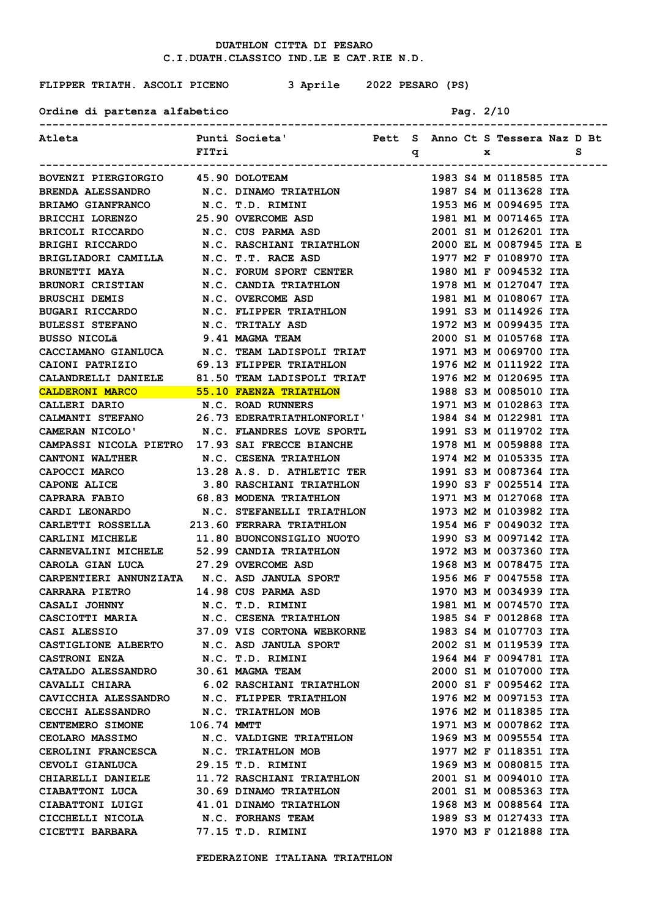**FLIPPER TRIATH. ASCOLI PICENO 3 Aprile 2022 PESARO (PS)**

Ordine di partenza alfabetico **Pag. 2/10** 

| Atleta                                                                                                                                                                                                     |       | Punti Societa' Nett S Anno Ct S Tessera Naz D Bt                                                                    |  |                                                                                             |              |                       |   |  |
|------------------------------------------------------------------------------------------------------------------------------------------------------------------------------------------------------------|-------|---------------------------------------------------------------------------------------------------------------------|--|---------------------------------------------------------------------------------------------|--------------|-----------------------|---|--|
|                                                                                                                                                                                                            | FITri |                                                                                                                     |  | $\mathbf q$ and $\mathbf q$ and $\mathbf q$ and $\mathbf q$ and $\mathbf q$ and $\mathbf q$ | $\mathbf{x}$ |                       | s |  |
|                                                                                                                                                                                                            |       |                                                                                                                     |  |                                                                                             |              |                       |   |  |
| BOVENZI PIERGIORGIO 45.90 DOLOTEAM                                                                                                                                                                         |       |                                                                                                                     |  |                                                                                             |              | 1983 S4 M 0118585 ITA |   |  |
|                                                                                                                                                                                                            |       |                                                                                                                     |  |                                                                                             |              |                       |   |  |
|                                                                                                                                                                                                            |       |                                                                                                                     |  |                                                                                             |              |                       |   |  |
|                                                                                                                                                                                                            |       |                                                                                                                     |  |                                                                                             |              |                       |   |  |
| BRENDA ALESSANDRO<br>BRIAMO GIANFRANCO N.C. DINAMO TRIATHLON 1987 S4 M 0113628 ITA<br>BRICHI LORENZO 25.90 OVERCOME ASD 1981 M1 M 0071465 ITA<br>BRICCLI RICCARDO N.C. CUS PARMA ASD 2001 S1 M 0126201 ITA |       |                                                                                                                     |  |                                                                                             |              |                       |   |  |
|                                                                                                                                                                                                            |       |                                                                                                                     |  |                                                                                             |              |                       |   |  |
|                                                                                                                                                                                                            |       |                                                                                                                     |  |                                                                                             |              |                       |   |  |
| <b>BRUNETTI MAYA</b>                                                                                                                                                                                       |       |                                                                                                                     |  |                                                                                             |              | 1980 M1 F 0094532 ITA |   |  |
| <b>BRUNORI CRISTIAN<br/>BRUSCHI DEMIS</b>                                                                                                                                                                  |       |                                                                                                                     |  |                                                                                             |              | 1978 M1 M 0127047 ITA |   |  |
|                                                                                                                                                                                                            |       |                                                                                                                     |  |                                                                                             |              | 1981 M1 M 0108067 ITA |   |  |
| BRUSCHI DEMIS<br>BUGARI RICCARDO<br>TITLETA ATTILICA                                                                                                                                                       |       | N.C. FORUM SPORT CENTER<br>N.C. CANDIA TRIATHLON<br>N.C. OVERCOME ASD<br>N.C. FLIPPER TRIATHLON<br>N.C. TRITALY ASD |  |                                                                                             |              | 1991 S3 M 0114926 ITA |   |  |
| <b>BULESSI STEFANO</b>                                                                                                                                                                                     |       |                                                                                                                     |  |                                                                                             |              | 1972 M3 M 0099435 ITA |   |  |
| BUSSO NICOLÃ                                                                                                                                                                                               |       | 9.41 MAGMA TEAM                                                                                                     |  |                                                                                             |              | 2000 S1 M 0105768 ITA |   |  |
| CACCIAMANO GIANLUCA N.C. TEAM LADISPOLI TRIAT                                                                                                                                                              |       |                                                                                                                     |  |                                                                                             |              | 1971 M3 M 0069700 ITA |   |  |
| CAIONI PATRIZIO 69.13 FLIPPER TRIATHLON                                                                                                                                                                    |       |                                                                                                                     |  |                                                                                             |              | 1976 M2 M 0111922 ITA |   |  |
| CALANDRELLI DANIELE 81.50 TEAM LADISPOLI TRIAT 1976 M2 M 0120695 ITA                                                                                                                                       |       |                                                                                                                     |  |                                                                                             |              |                       |   |  |
| CALDERONI MARCO 55.10 FAENZA TRIATHLON                                                                                                                                                                     |       |                                                                                                                     |  |                                                                                             |              | 1988 S3 M 0085010 ITA |   |  |
| CALLERI DARIO N.C. ROAD RUNNERS                                                                                                                                                                            |       |                                                                                                                     |  |                                                                                             |              | 1971 M3 M 0102863 ITA |   |  |
| CALMANTI STEFANO 26.73 EDERATRIATHLONFORLI' 1984 S4 M 0122981 ITA                                                                                                                                          |       |                                                                                                                     |  |                                                                                             |              |                       |   |  |
| CAMERAN NICOLO' N.C. FLANDRES LOVE SPORTL 1991 S3 M 0119702 ITA                                                                                                                                            |       |                                                                                                                     |  |                                                                                             |              |                       |   |  |
| CAMPASSI NICOLA PIETRO 17.93 SAI FRECCE BIANCHE 1978 M1 M 0059888 ITA                                                                                                                                      |       |                                                                                                                     |  |                                                                                             |              |                       |   |  |
| CANTONI WALTHER N.C. CESENA TRIATHLON 1974 M2 M 0105335 ITA                                                                                                                                                |       |                                                                                                                     |  |                                                                                             |              |                       |   |  |
| CAPOCCI MARCO 13.28 A.S. D. ATHLETIC TER 1991 S3 M 0087364 ITA                                                                                                                                             |       |                                                                                                                     |  |                                                                                             |              |                       |   |  |
| CAPONE ALICE 3.80 RASCHIANI TRIATHLON 1990 S3 F 0025514 ITA                                                                                                                                                |       |                                                                                                                     |  |                                                                                             |              |                       |   |  |
| CAPRARA FABIO 68.83 MODENA TRIATHLON 1971 M3 M 0127068 ITA                                                                                                                                                 |       |                                                                                                                     |  |                                                                                             |              |                       |   |  |
| CARDI LEONARDO M.C. STEFANELLI TRIATHLON 1973 M2 M 0103982 ITA                                                                                                                                             |       |                                                                                                                     |  |                                                                                             |              |                       |   |  |
| CARLETTI ROSSELLA 213.60 FERRARA TRIATHLON 1954 M6 F 0049032 ITA                                                                                                                                           |       |                                                                                                                     |  |                                                                                             |              |                       |   |  |
| CARLINI MICHELE 11.80 BUONCONSIGLIO NUOTO 1990 S3 M 0097142 ITA                                                                                                                                            |       |                                                                                                                     |  |                                                                                             |              |                       |   |  |
| CARLINI MICHELE 52.99 CANDIA TRIATHLON 1972 M3 M 0037360 ITA<br>CARNEVALINI MICHELE 52.99 CANDIA TRIATHLON 1972 M3 M 0078475 ITA<br>CAROLA GIAN LUCA 27.29 OVERCOME ASD 1968 M3 M 0078475 ITA              |       |                                                                                                                     |  |                                                                                             |              |                       |   |  |
|                                                                                                                                                                                                            |       |                                                                                                                     |  |                                                                                             |              |                       |   |  |
| CARPENTIERI ANNUNZIATA N.C. ASD JANULA SPORT 1956 M6 F 0047558 ITA                                                                                                                                         |       |                                                                                                                     |  |                                                                                             |              |                       |   |  |
| <b>CARRARA PIETRO</b>                                                                                                                                                                                      |       | 14.98 CUS PARMA ASD                                                                                                 |  |                                                                                             |              | 1970 M3 M 0034939 ITA |   |  |
| CASALI JOHNNY N.C. T.D. RIMINI                                                                                                                                                                             |       |                                                                                                                     |  |                                                                                             |              | 1981 M1 M 0074570 ITA |   |  |
| CASCIOTTI MARIA N.C. CESENA TRIATHLON                                                                                                                                                                      |       |                                                                                                                     |  |                                                                                             |              | 1985 S4 F 0012868 ITA |   |  |
|                                                                                                                                                                                                            |       |                                                                                                                     |  |                                                                                             |              |                       |   |  |
| CASI ALESSIO 37.09 VIS CORTONA WEBKORNE 1983 S4 M 0107703 ITA<br>CASTIGLIONE ALBERTO N.C. ASD JANULA SPORT 2002 S1 M 0119539 ITA                                                                           |       |                                                                                                                     |  |                                                                                             |              |                       |   |  |
| CASTRONI ENZA                                                                                                                                                                                              |       | N.C. T.D. RIMINI                                                                                                    |  |                                                                                             |              | 1964 M4 F 0094781 ITA |   |  |
| CATALDO ALESSANDRO 30.61 MAGMA TEAM                                                                                                                                                                        |       |                                                                                                                     |  |                                                                                             |              | 2000 S1 M 0107000 ITA |   |  |
| CAVALLI CHIARA 6.02 RASCHIANI TRIATHLON<br>CAVICCHIA ALESSANDRO N.C. FLIPPER TRIATHLON                                                                                                                     |       |                                                                                                                     |  |                                                                                             |              | 2000 S1 F 0095462 ITA |   |  |
|                                                                                                                                                                                                            |       |                                                                                                                     |  |                                                                                             |              | 1976 M2 M 0097153 ITA |   |  |
| <b>CECCHI ALESSANDRO</b>                                                                                                                                                                                   |       | N.C. TRIATHLON MOB                                                                                                  |  |                                                                                             |              | 1976 M2 M 0118385 ITA |   |  |
| CENTEMERO SIMONE 106.74 MMTT                                                                                                                                                                               |       |                                                                                                                     |  |                                                                                             |              | 1971 M3 M 0007862 ITA |   |  |
| CEOLARO MASSIMO N.C. VALDIGNE TRIATHLON                                                                                                                                                                    |       |                                                                                                                     |  |                                                                                             |              | 1969 M3 M 0095554 ITA |   |  |
| CEROLINI FRANCESCA N.C. TRIATHLON MOB                                                                                                                                                                      |       |                                                                                                                     |  |                                                                                             |              | 1977 M2 F 0118351 ITA |   |  |
| CEVOLI GIANLUCA 29.15 T.D. RIMINI                                                                                                                                                                          |       |                                                                                                                     |  |                                                                                             |              | 1969 M3 M 0080815 ITA |   |  |
| CHIARELLI DANIELE 11.72 RASCHIANI TRIATHLON 2001 S1 M 0094010 ITA                                                                                                                                          |       |                                                                                                                     |  |                                                                                             |              |                       |   |  |
| CIABATTONI LUCA 30.69 DINAMO TRIATHLON 2001 S1 M 0085363 ITA                                                                                                                                               |       |                                                                                                                     |  |                                                                                             |              |                       |   |  |
| CIABATTONI LUIGI 41.01 DINAMO TRIATHLON 1968 M3 M 0088564 ITA                                                                                                                                              |       |                                                                                                                     |  |                                                                                             |              |                       |   |  |
| CICCHELLI NICOLA N.C. FORHANS TEAM                                                                                                                                                                         |       |                                                                                                                     |  |                                                                                             |              | 1989 S3 M 0127433 ITA |   |  |
| CICETTI BARBARA 77.15 T.D. RIMINI                                                                                                                                                                          |       |                                                                                                                     |  |                                                                                             |              | 1970 M3 F 0121888 ITA |   |  |
|                                                                                                                                                                                                            |       |                                                                                                                     |  |                                                                                             |              |                       |   |  |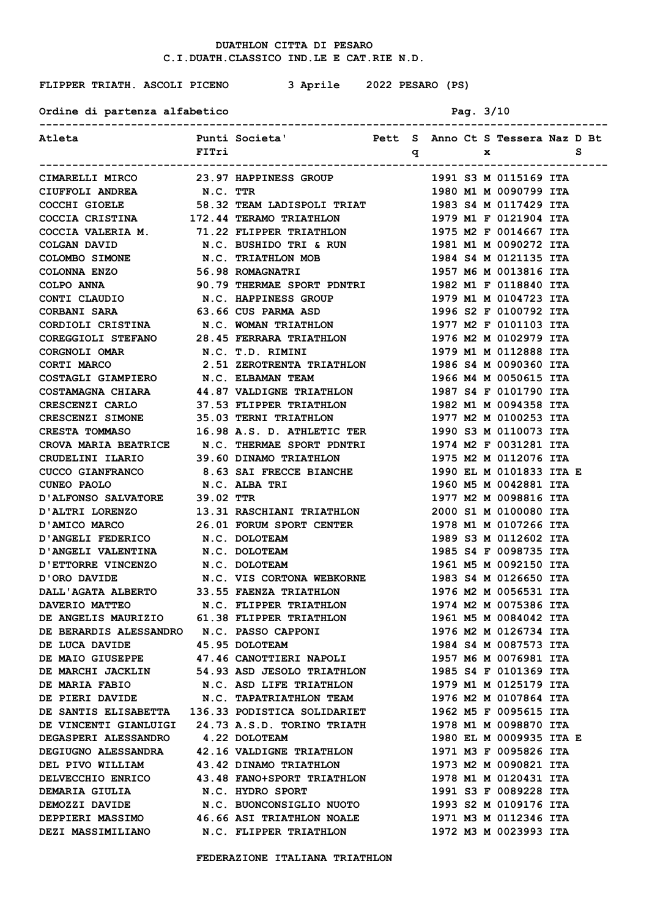| FLIPPER TRIATH. ASCOLI PICENO 3 Aprile 2022 PESARO (PS)                                                                                                                                                                                    |       |                                                                               |  |                                                                                                                        |           |                                                                          |   |
|--------------------------------------------------------------------------------------------------------------------------------------------------------------------------------------------------------------------------------------------|-------|-------------------------------------------------------------------------------|--|------------------------------------------------------------------------------------------------------------------------|-----------|--------------------------------------------------------------------------|---|
| Ordine di partenza alfabetico<br>--------------------------                                                                                                                                                                                |       |                                                                               |  |                                                                                                                        | Pag. 3/10 |                                                                          |   |
| Atleta                                                                                                                                                                                                                                     | FITri | Punti Societa'                           Pett  S   Anno Ct S Tessera Naz D Bt |  | <b>to the set of the set of the set of the set of the set of the set of the set of the set of the set of the set o</b> |           |                                                                          | s |
|                                                                                                                                                                                                                                            |       |                                                                               |  |                                                                                                                        |           | 1991 S3 M 0115169 ITA                                                    |   |
| CIMARELLI MIRCO 23.97 HAPPINESS GROUP<br>CIUFFOLI ANDREA N.C. TTR                                                                                                                                                                          |       |                                                                               |  |                                                                                                                        |           | 1980 M1 M 0090799 ITA                                                    |   |
| CIMARELLI MIRCO<br>CIUFFOLI ANDREA N.C. TTR<br>COCCHI GIOELE 58.32 TEAM LADISPOLI TRIAT<br>COCCIA CRISTINA 172.44 TERAMO TRIATHLON<br>COCCIA VALERIA M. 71.22 FLIPPER TRIATHLON<br>COLGAN DAVID N.C. BUSHIDO TRI & RUN<br>COLOMBO SIMONE N |       |                                                                               |  |                                                                                                                        |           | 1983 S4 M 0117429 ITA                                                    |   |
|                                                                                                                                                                                                                                            |       |                                                                               |  |                                                                                                                        |           | 1979 M1 F 0121904 ITA                                                    |   |
|                                                                                                                                                                                                                                            |       |                                                                               |  |                                                                                                                        |           |                                                                          |   |
|                                                                                                                                                                                                                                            |       |                                                                               |  |                                                                                                                        |           | 1975 M2 F 0014667 ITA<br>1981 M1 M 0090272 ITA<br>1991 M1 M 0191125 ---- |   |
|                                                                                                                                                                                                                                            |       |                                                                               |  |                                                                                                                        |           | 1984 S4 M 0121135 ITA                                                    |   |
| COLONNA ENZO                                                                                                                                                                                                                               |       | 56.98 ROMAGNATRI                                                              |  |                                                                                                                        |           | 1957 M6 M 0013816 ITA                                                    |   |
| COLPO ANNA 90.79 THERMAE SPORT PDNTRI                                                                                                                                                                                                      |       |                                                                               |  |                                                                                                                        |           | 1982 M1 F 0118840 ITA                                                    |   |
| CONTI CLAUDIO N.C. HAPPINESS GROUP                                                                                                                                                                                                         |       |                                                                               |  |                                                                                                                        |           | 1979 M1 M 0104723 ITA                                                    |   |
| CORBANI SARA 63.66 CUS PARMA ASD                                                                                                                                                                                                           |       |                                                                               |  |                                                                                                                        |           | 1996 S2 F 0100792 ITA                                                    |   |
| CORDIOLI CRISTINA M.C. WOMAN TRIATHLON 1977 M2 F 0101103 ITA                                                                                                                                                                               |       |                                                                               |  |                                                                                                                        |           |                                                                          |   |
| COREGGIOLI STEFANO 28.45 FERRARA TRIATHLON 1976 M2 M 0102979 ITA                                                                                                                                                                           |       |                                                                               |  |                                                                                                                        |           |                                                                          |   |
| CORGNOLI OMAR N.C. T.D. RIMINI                                                                                                                                                                                                             |       |                                                                               |  |                                                                                                                        |           | 1979 M1 M 0112888 ITA                                                    |   |
| CORTI MARCO <b>2.51 ZEROTRENTA TRIATHLON</b> 1986 S4 M 0090360 ITA                                                                                                                                                                         |       |                                                                               |  |                                                                                                                        |           |                                                                          |   |
| COSTAGLI GIAMPIERO N.C. ELBAMAN TEAM                                                                                                                                                                                                       |       |                                                                               |  |                                                                                                                        |           | 1966 M4 M 0050615 ITA                                                    |   |
| COSTAMAGNA CHIARA 44.87 VALDIGNE TRIATHLON 1987 S4 F 0101790 ITA                                                                                                                                                                           |       |                                                                               |  |                                                                                                                        |           |                                                                          |   |
| CRESCENZI CARLO 37.53 FLIPPER TRIATHLON 1982 M1 M 0094358 ITA                                                                                                                                                                              |       |                                                                               |  |                                                                                                                        |           |                                                                          |   |
| CRESCENZI SIMONE 35.03 TERNI TRIATHLON                                                                                                                                                                                                     |       |                                                                               |  |                                                                                                                        |           | 1977 M2 M 0100253 ITA                                                    |   |
| CRESTA TOMMASO 16.98 A.S. D. ATHLETIC TER                                                                                                                                                                                                  |       |                                                                               |  |                                                                                                                        |           | 1990 S3 M 0110073 ITA                                                    |   |
| CROVA MARIA BEATRICE N.C. THERMAE SPORT PDNTRI 1974 M2 F 0031281 ITA                                                                                                                                                                       |       |                                                                               |  |                                                                                                                        |           |                                                                          |   |
| CRUDELINI ILARIO 39.60 DINAMO TRIATHLON                                                                                                                                                                                                    |       |                                                                               |  |                                                                                                                        |           | 1975 M2 M 0112076 ITA                                                    |   |
|                                                                                                                                                                                                                                            |       |                                                                               |  |                                                                                                                        |           | 1990 EL M 0101833 ITA E                                                  |   |
|                                                                                                                                                                                                                                            |       |                                                                               |  |                                                                                                                        |           | 1960 M5 M 0042881 ITA                                                    |   |
| D'ALFONSO SALVATORE 39.02 TTR                                                                                                                                                                                                              |       |                                                                               |  |                                                                                                                        |           | 1977 M2 M 0098816 ITA                                                    |   |
| D'ALTRI LORENZO 13.31 RASCHIANI TRIATHLON 2000 S1 M 0100080 ITA                                                                                                                                                                            |       |                                                                               |  |                                                                                                                        |           |                                                                          |   |
| D'AMICO MARCO 26.01 FORUM SPORT CENTER                                                                                                                                                                                                     |       |                                                                               |  |                                                                                                                        |           | 1978 M1 M 0107266 ITA                                                    |   |
| D'ANGELI FEDERICO N.C. DOLOTEAM                                                                                                                                                                                                            |       |                                                                               |  |                                                                                                                        |           | 1989 S3 M 0112602 ITA                                                    |   |
| D'ANGELI VALENTINA N.C. DOLOTEAM                                                                                                                                                                                                           |       |                                                                               |  |                                                                                                                        |           | 1985 S4 F 0098735 ITA                                                    |   |
|                                                                                                                                                                                                                                            |       |                                                                               |  |                                                                                                                        |           | 1961 M5 M 0092150 ITA                                                    |   |
|                                                                                                                                                                                                                                            |       |                                                                               |  |                                                                                                                        |           | 1983 S4 M 0126650 ITA                                                    |   |
|                                                                                                                                                                                                                                            |       |                                                                               |  |                                                                                                                        |           | 1976 M2 M 0056531 ITA                                                    |   |
|                                                                                                                                                                                                                                            |       |                                                                               |  |                                                                                                                        |           | 1974 М2 М 0075386 ІТА                                                    |   |
| D'ETTORRE VINCENZO N.C. DOLOTEAM<br>D'ORO DAVIDE N.C. VIS CORTONA WEBKORNE<br>DALL'AGATA ALBERTO 33.55 FAENZA TRIATHLON<br>DAVERIO MATTEO N.C. FLIPPER TRIATHLON<br>DE ANGELIS MAURIZIO 61.38 FLIPPER TRIATHLON<br>DE BERARDIS ALESSANDR   |       |                                                                               |  |                                                                                                                        |           | 1961 M5 M 0084042 ITA                                                    |   |
|                                                                                                                                                                                                                                            |       |                                                                               |  |                                                                                                                        |           | 1976 M2 M 0126734 ITA                                                    |   |
|                                                                                                                                                                                                                                            |       |                                                                               |  |                                                                                                                        |           | 1984 S4 M 0087573 ITA                                                    |   |
| DE MAIO GIUSEPPE 47.46 CANOTTIERI NAPOLI                                                                                                                                                                                                   |       |                                                                               |  |                                                                                                                        |           | 1957 М6 М 0076981 ІТА                                                    |   |
| DE MARCHI JACKLIN 54.93 ASD JESOLO TRIATHLON 1985 S4 F 0101369 ITA                                                                                                                                                                         |       |                                                                               |  |                                                                                                                        |           |                                                                          |   |
| DE MARIA FABIO N.C. ASD LIFE TRIATHLON 1979 M1 M 0125179 ITA                                                                                                                                                                               |       |                                                                               |  |                                                                                                                        |           |                                                                          |   |
| DE PIERI DAVIDE N.C. TAPATRIATHLON TEAM 1976 M2 M 0107864 ITA                                                                                                                                                                              |       |                                                                               |  |                                                                                                                        |           |                                                                          |   |
| DE SANTIS ELISABETTA 136.33 PODISTICA SOLIDARIET 1962 M5 F 0095615 ITA                                                                                                                                                                     |       |                                                                               |  |                                                                                                                        |           |                                                                          |   |
| DE VINCENTI GIANLUIGI 24.73 A.S.D. TORINO TRIATH 1978 M1 M 0098870 ITA                                                                                                                                                                     |       |                                                                               |  |                                                                                                                        |           |                                                                          |   |
| DEGASPERI ALESSANDRO 4.22 DOLOTEAM                                                                                                                                                                                                         |       |                                                                               |  |                                                                                                                        |           | 1980 EL M 0009935 ITA E                                                  |   |
| DEGIUGNO ALESSANDRA 42.16 VALDIGNE TRIATHLON 1971 M3 F 0095826 ITA                                                                                                                                                                         |       |                                                                               |  |                                                                                                                        |           |                                                                          |   |
| DEL PIVO WILLIAM 43.42 DINAMO TRIATHLON 1973 M2 M 0090821 ITA                                                                                                                                                                              |       |                                                                               |  |                                                                                                                        |           |                                                                          |   |
| DELVECCHIO ENRICO 43.48 FANO+SPORT TRIATHLON                                                                                                                                                                                               |       |                                                                               |  |                                                                                                                        |           | 1978 M1 M 0120431 ITA                                                    |   |
| DEMARIA GIULIA N.C. HYDRO SPORT                                                                                                                                                                                                            |       |                                                                               |  |                                                                                                                        |           | 1991 S3 F 0089228 ITA                                                    |   |
| DEMOZZI DAVIDE N.C. BUONCONSIGLIO NUOTO 1993 S2 M 0109176 ITA                                                                                                                                                                              |       |                                                                               |  |                                                                                                                        |           |                                                                          |   |

 **FEDERAZIONE ITALIANA TRIATHLON**

**DEPPIERI MASSIMO 46.66 ASI TRIATHLON NOALE 1971 M3 M 0112346 ITA DEZI MASSIMILIANO N.C. FLIPPER TRIATHLON 1972 M3 M 0023993 ITA**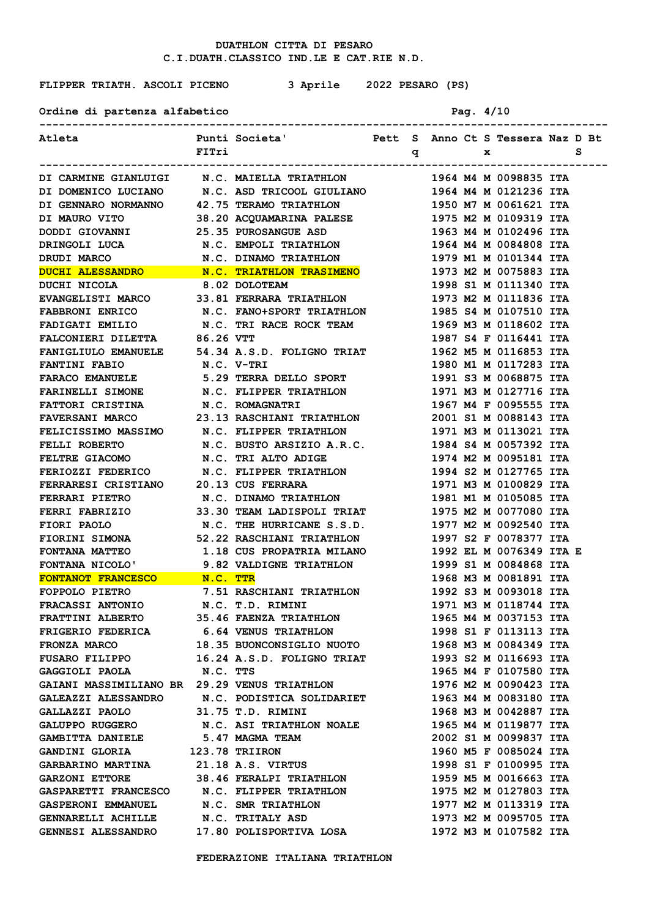**FLIPPER TRIATH. ASCOLI PICENO 3 Aprile 2022 PESARO (PS)**

Ordine di partenza alfabetico **Pag. 4/10** 

| Atleta                                                                                                                                                                                                                               |            | Punti Societa'                       Pett  S   Anno Ct S Tessera Naz D Bt |   |  |   |                       |   |  |
|--------------------------------------------------------------------------------------------------------------------------------------------------------------------------------------------------------------------------------------|------------|---------------------------------------------------------------------------|---|--|---|-----------------------|---|--|
|                                                                                                                                                                                                                                      | FITri      |                                                                           | q |  | x |                       | s |  |
|                                                                                                                                                                                                                                      |            |                                                                           |   |  |   |                       |   |  |
| DI CARMINE GIANLUIGI M.C. MAIELLA TRIATHLON                                                                                                                                                                                          |            |                                                                           |   |  |   | 1964 M4 M 0098835 ITA |   |  |
| DI DOMENICO LUCIANO N.C. ASD TRICOOL GIULIANO 1964 M4 M 0121236 ITA                                                                                                                                                                  |            |                                                                           |   |  |   |                       |   |  |
| DI GENNARO NORMANNO 42.75 TERAMO TRIATHLON                                                                                                                                                                                           |            |                                                                           |   |  |   | 1950 M7 M 0061621 ITA |   |  |
|                                                                                                                                                                                                                                      |            |                                                                           |   |  |   |                       |   |  |
|                                                                                                                                                                                                                                      |            |                                                                           |   |  |   |                       |   |  |
| DRINGOLI LUCA<br>DRUDI MARCO M.C. EMPOLI TRIATHLON<br>N.C. DINAMO TRIATHLON                                                                                                                                                          |            |                                                                           |   |  |   | 1964 M4 M 0084808 ITA |   |  |
|                                                                                                                                                                                                                                      |            |                                                                           |   |  |   | 1979 M1 M 0101344 ITA |   |  |
|                                                                                                                                                                                                                                      |            |                                                                           |   |  |   | 1973 M2 M 0075883 ITA |   |  |
|                                                                                                                                                                                                                                      |            |                                                                           |   |  |   | 1998 S1 M 0111340 ITA |   |  |
| EVANGELISTI MARCO 33.81 FERRARA TRIATHLON                                                                                                                                                                                            |            |                                                                           |   |  |   | 1973 M2 M 0111836 ITA |   |  |
| <b>FABBRONI ENRICO</b>                                                                                                                                                                                                               |            | N.C. FANO+SPORT TRIATHLON                                                 |   |  |   | 1985 S4 M 0107510 ITA |   |  |
| <b>FADIGATI EMILIO</b>                                                                                                                                                                                                               |            | N.C. TRI RACE ROCK TEAM                                                   |   |  |   | 1969 M3 M 0118602 ITA |   |  |
| FALCONIERI DILETTA 86.26 VTT                                                                                                                                                                                                         |            |                                                                           |   |  |   | 1987 S4 F 0116441 ITA |   |  |
| FANIGLIULO EMANUELE 54.34 A.S.D. FOLIGNO TRIAT                                                                                                                                                                                       |            |                                                                           |   |  |   | 1962 M5 M 0116853 ITA |   |  |
| <b>FANTINI FABIO</b>                                                                                                                                                                                                                 | N.C. V-TRI |                                                                           |   |  |   | 1980 M1 M 0117283 ITA |   |  |
| FARACO EMANUELE 5.29 TERRA DELLO SPORT                                                                                                                                                                                               |            |                                                                           |   |  |   | 1991 S3 M 0068875 ITA |   |  |
| FARINELLI SIMONE N.C. FLIPPER TRIATHLON                                                                                                                                                                                              |            |                                                                           |   |  |   | 1971 M3 M 0127716 ITA |   |  |
| FATTORI CRISTINA N.C. ROMAGNATRI                                                                                                                                                                                                     |            |                                                                           |   |  |   | 1967 M4 F 0095555 ITA |   |  |
| FAVERSANI MARCO 23.13 RASCHIANI TRIATHLON                                                                                                                                                                                            |            |                                                                           |   |  |   | 2001 S1 M 0088143 ITA |   |  |
| FELICISSIMO MASSIMO N.C. FLIPPER TRIATHLON                                                                                                                                                                                           |            |                                                                           |   |  |   | 1971 M3 M 0113021 ITA |   |  |
| FELLI ROBERTO M.C. BUSTO ARSIZIO A.R.C. 1984 S4 M 0057392 ITA                                                                                                                                                                        |            |                                                                           |   |  |   |                       |   |  |
| FELTRE GIACOMO N.C. TRI ALTO ADIGE                                                                                                                                                                                                   |            |                                                                           |   |  |   | 1974 M2 M 0095181 ITA |   |  |
| FERIOZZI FEDERICO N.C. FLIPPER TRIATHLON                                                                                                                                                                                             |            |                                                                           |   |  |   | 1994 S2 M 0127765 ITA |   |  |
| FERRARESI CRISTIANO 20.13 CUS FERRARA                                                                                                                                                                                                |            |                                                                           |   |  |   | 1971 M3 M 0100829 ITA |   |  |
| FERRARI PIETRO N.C. DINAMO TRIATHLON                                                                                                                                                                                                 |            |                                                                           |   |  |   | 1981 M1 M 0105085 ITA |   |  |
| FERRI FABRIZIO 33.30 TEAM LADISPOLI TRIAT 1975 M2 M 0077080 ITA                                                                                                                                                                      |            |                                                                           |   |  |   |                       |   |  |
| FIORI PAOLO N.C. THE HURRICANE S.S.D. 1977 M2 M 0092540 ITA                                                                                                                                                                          |            |                                                                           |   |  |   |                       |   |  |
| FIORINI SIMONA 52.22 RASCHIANI TRIATHLON                                                                                                                                                                                             |            |                                                                           |   |  |   | 1997 S2 F 0078377 ITA |   |  |
| FONTANA MATTEO 1.18 CUS PROPATRIA MILANO 1992 EL M 0076349 ITA E                                                                                                                                                                     |            |                                                                           |   |  |   |                       |   |  |
| FONTANA NICOLO' 9.82 VALDIGNE TRIATHLON                                                                                                                                                                                              |            |                                                                           |   |  |   | 1999 S1 M 0084868 ITA |   |  |
| FONTANA NICOLO<br>FONTANOT FRANCESCO M.C. TTR<br>FOPPOLO PIETRO 7.51 RASCHIANI TRIATHLON                                                                                                                                             |            |                                                                           |   |  |   | 1968 M3 M 0081891 ITA |   |  |
|                                                                                                                                                                                                                                      |            |                                                                           |   |  |   | 1992 S3 M 0093018 ITA |   |  |
| FRACASSI ANTONIO N.C. T.D. RIMINI                                                                                                                                                                                                    |            |                                                                           |   |  |   | 1971 M3 M 0118744 ITA |   |  |
| FRATTINI ALBERTO 35.46 FAENZA TRIATHLON                                                                                                                                                                                              |            |                                                                           |   |  |   | 1965 M4 M 0037153 ITA |   |  |
|                                                                                                                                                                                                                                      |            |                                                                           |   |  |   |                       |   |  |
| FRIGERIO FEDERICA 6.64 VENUS TRIATHLON 1998 S1 F 0113113 ITA<br>FRONZA MARCO 18.35 BUONCONSIGLIO NUOTO 1968 M3 M 0084349 ITA<br>FUSARO FILIPPO 16.24 A.S.D. FOLIGNO TRIAT 1993 S2 M 0116693 ITA<br>GAGGIOLI PAOLA N.C. TTS 1965 M4 F |            |                                                                           |   |  |   |                       |   |  |
|                                                                                                                                                                                                                                      |            |                                                                           |   |  |   |                       |   |  |
|                                                                                                                                                                                                                                      |            |                                                                           |   |  |   |                       |   |  |
| GAIANI MASSIMILIANO BR 29.29 VENUS TRIATHLON                                                                                                                                                                                         |            |                                                                           |   |  |   | 1976 M2 M 0090423 ITA |   |  |
| GALEAZZI ALESSANDRO N.C. PODISTICA SOLIDARIET                                                                                                                                                                                        |            |                                                                           |   |  |   | 1963 M4 M 0083180 ITA |   |  |
| GALLAZZI PAOLO 31.75 T.D. RIMINI                                                                                                                                                                                                     |            |                                                                           |   |  |   | 1968 M3 M 0042887 ITA |   |  |
| GALUPPO RUGGERO N.C. ASI TRIATHLON NOALE                                                                                                                                                                                             |            |                                                                           |   |  |   | 1965 M4 M 0119877 ITA |   |  |
| GAMBITTA DANIELE 5.47 MAGMA TEAM                                                                                                                                                                                                     |            |                                                                           |   |  |   | 2002 S1 M 0099837 ITA |   |  |
| GANDINI GLORIA 123.78 TRIIRON                                                                                                                                                                                                        |            |                                                                           |   |  |   | 1960 M5 F 0085024 ITA |   |  |
| GARBARINO MARTINA 21.18 A.S. VIRTUS                                                                                                                                                                                                  |            |                                                                           |   |  |   | 1998 S1 F 0100995 ITA |   |  |
| GARZONI ETTORE 38.46 FERALPI TRIATHLON 1959 M5 M 0016663 ITA                                                                                                                                                                         |            |                                                                           |   |  |   |                       |   |  |
| GASPARETTI FRANCESCO N.C. FLIPPER TRIATHLON 1975 M2 M 0127803 ITA                                                                                                                                                                    |            |                                                                           |   |  |   |                       |   |  |
| GASPERONI EMMANUEL N.C. SMR TRIATHLON                                                                                                                                                                                                |            |                                                                           |   |  |   | 1977 M2 M 0113319 ITA |   |  |
| GENNARELLI ACHILLE N.C. TRITALY ASD                                                                                                                                                                                                  |            |                                                                           |   |  |   | 1973 M2 M 0095705 ITA |   |  |
| GENNESI ALESSANDRO 17.80 POLISPORTIVA LOSA                                                                                                                                                                                           |            |                                                                           |   |  |   | 1972 M3 M 0107582 ITA |   |  |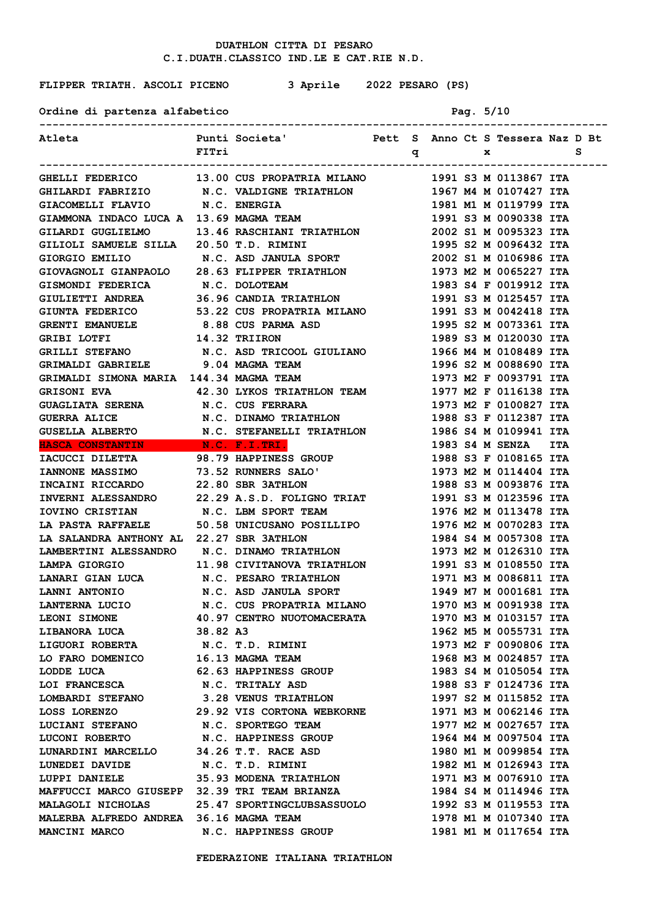**FLIPPER TRIATH. ASCOLI PICENO 3 Aprile 2022 PESARO (PS)**

|  | Ordine di partenza alfabetico | Pag. $5/10$ |  |
|--|-------------------------------|-------------|--|
|  |                               |             |  |

|                                                                                                                                                                                        | FITri International                         |  |  | <b>d</b> a set of $\mathbf{x}$                 |  |
|----------------------------------------------------------------------------------------------------------------------------------------------------------------------------------------|---------------------------------------------|--|--|------------------------------------------------|--|
|                                                                                                                                                                                        |                                             |  |  |                                                |  |
| GHELLI FEDERICO 13.00 CUS PROPATRIA MILANO 1991 S3 M 0113867 ITA                                                                                                                       |                                             |  |  |                                                |  |
| GHILARDI FABRIZIO<br>GIACOMELLI FLAVIO N.C. VALDIGNE TRIATHLON<br>GIACOMELLI FLAVIO N.C. ENERGIA<br>GIAMMONA INDACO LUCA A 13.69 MAGMA TEAM<br>CIAMMONA INDACO LUCA A 13.69 MAGMA TEAM |                                             |  |  | 1967 M4 M 0107427 ITA                          |  |
|                                                                                                                                                                                        |                                             |  |  | 1981 M1 M 0119799 ITA                          |  |
|                                                                                                                                                                                        |                                             |  |  | 1991 S3 M 0090338 ITA                          |  |
| GILARDI GUGLIELMO 13.46 RASCHIANI TRIATHLON 2002 S1 M 0095323 ITA                                                                                                                      |                                             |  |  |                                                |  |
| GILIOLI SAMUELE SILLA 20.50 T.D. RIMINI                                                                                                                                                |                                             |  |  | 1995 S2 M 0096432 ITA                          |  |
| GIORGIO EMILIO N.C. ASD JANULA SPORT 2002 S1 M 0106986 ITA                                                                                                                             |                                             |  |  |                                                |  |
| GIOVAGNOLI GIANPAOLO 28.63 FLIPPER TRIATHLON 1973 M2 M 0065227 ITA                                                                                                                     |                                             |  |  |                                                |  |
| GISMONDI FEDERICA N.C. DOLOTEAM                                                                                                                                                        |                                             |  |  | 1983 S4 F 0019912 ITA                          |  |
| GIULIETTI ANDREA 36.96 CANDIA TRIATHLON 1991 S3 M 0125457 ITA                                                                                                                          |                                             |  |  |                                                |  |
| GIUNTA FEDERICO 53.22 CUS PROPATRIA MILANO 1991 S3 M 0042418 ITA                                                                                                                       |                                             |  |  |                                                |  |
| GRENTI EMANUELE 8.88 CUS PARMA ASD                                                                                                                                                     |                                             |  |  | 1995 S2 M 0073361 ITA                          |  |
| GRIBI LOTFI 14.32 TRIIRON                                                                                                                                                              |                                             |  |  | 1989 S3 M 0120030 ITA                          |  |
| GRILLI STEFANO N.C. ASD TRICOOL GIULIANO 1966 M4 M 0108489 ITA                                                                                                                         |                                             |  |  |                                                |  |
| GRIMALDI GABRIELE 9.04 MAGMA TEAM                                                                                                                                                      |                                             |  |  | 1996 S2 M 0088690 ITA<br>1973 M2 F 0093791 ITA |  |
| GRIMALDI SIMONA MARIA 144.34 MAGMA TEAM                                                                                                                                                |                                             |  |  |                                                |  |
| GRISONI EVA $42.30$ LYKOS TRIATHLON TEAM $1977$ M2 F 0116138 ITA                                                                                                                       |                                             |  |  |                                                |  |
| GUAGLIATA SERENA N.C. CUS FERRARA                                                                                                                                                      |                                             |  |  | 1973 M2 F 0100827 ITA                          |  |
| <b>GUERRA ALICE</b>                                                                                                                                                                    | N.C. DINAMO TRIATHLON 1988 S3 F 0112387 ITA |  |  |                                                |  |
|                                                                                                                                                                                        |                                             |  |  |                                                |  |
| <b>HASCA CONSTANTIN</b> N.C. F.I.TRI.                                                                                                                                                  |                                             |  |  | 1983 S4 M SENZA ITA                            |  |
|                                                                                                                                                                                        |                                             |  |  |                                                |  |
| TACUCCI DILETTA MARIE 198.79 HAPPINESS GROUP<br>TANNONE MASSIMO 73.52 RUNNERS SALO' 1973 M2 M 0114404 ITA<br>TNCAINI RICCARDO 22.80 SBR 3ATHLON 1988 S3 M 0093876 ITA                  |                                             |  |  |                                                |  |
| INCAINI RICCARDO                                                                                                                                                                       | 22.80 SBR 3ATHLON                           |  |  | 1988 S3 M 0093876 ITA                          |  |
| INVERNI ALESSANDRO 22.29 A.S.D. FOLIGNO TRIAT                                                                                                                                          |                                             |  |  | 1991 S3 M 0123596 ITA                          |  |
| <b>TOVINO CRISTIAN N.C. LBM SPORT TEAM<br/> LA PASTA RAFFAELE 50.58 UNICUSANO POSILLIPO<br/> LA SALANDRA ANTHONY AL 22.27 SBR 3ATHLON</b>                                              |                                             |  |  | 1976 M2 M 0113478 ITA                          |  |
|                                                                                                                                                                                        |                                             |  |  | 1976 M2 M 0070283 ITA                          |  |
|                                                                                                                                                                                        |                                             |  |  | 1984 S4 M 0057308 ITA                          |  |
| LAMBERTINI ALESSANDRO N.C. DINAMO TRIATHLON                                                                                                                                            |                                             |  |  | 1973 M2 M 0126310 ITA                          |  |
| LAMPA GIORGIO                                                                                                                                                                          | 11.98 CIVITANOVA TRIATHLON                  |  |  | 1991 S3 M 0108550 ITA                          |  |
| LANARI GIAN LUCA N.C. PESARO TRIATHLON                                                                                                                                                 |                                             |  |  | 1971 M3 M 0086811 ITA                          |  |
| LANNI ANTONIO N.C. ASD JANULA SPORT                                                                                                                                                    |                                             |  |  | 1949 M7 M 0001681 ITA                          |  |
| LANTERNA LUCIO N.C. CUS PROPATRIA MILANO                                                                                                                                               |                                             |  |  | 1970 M3 M 0091938 ITA                          |  |
| LEONI SIMONE 40.97 CENTRO NUOTOMACERATA                                                                                                                                                |                                             |  |  | 1970 M3 M 0103157 ITA                          |  |
| LIBANORA LUCA 38.82 A3                                                                                                                                                                 |                                             |  |  | 1962 M5 M 0055731 ITA                          |  |
| LIGUORI ROBERTA N.C. T.D. RIMINI                                                                                                                                                       |                                             |  |  | 1973 M2 F 0090806 ITA                          |  |
| LO FARO DOMENICO 16.13 MAGMA TEAM                                                                                                                                                      |                                             |  |  | 1968 M3 M 0024857 ITA                          |  |
| LODDE LUCA 62.63 HAPPINESS GROUP                                                                                                                                                       |                                             |  |  | 1983 S4 M 0105054 ITA                          |  |
| LOI FRANCESCA N.C. TRITALY ASD                                                                                                                                                         |                                             |  |  | 1988 S3 F 0124736 ITA                          |  |
| LOMBARDI STEFANO 3.28 VENUS TRIATHLON                                                                                                                                                  |                                             |  |  | 1997 S2 M 0115852 ITA                          |  |
| LOSS LORENZO 29.92 VIS CORTONA WEBKORNE                                                                                                                                                |                                             |  |  | 1971 M3 M 0062146 ITA                          |  |
| LUCIANI STEFANO N.C. SPORTEGO TEAM                                                                                                                                                     |                                             |  |  | 1977 M2 M 0027657 ITA                          |  |
| LUCONI ROBERTO N.C. HAPPINESS GROUP                                                                                                                                                    |                                             |  |  | 1964 M4 M 0097504 ITA                          |  |
| LUNARDINI MARCELLO 34.26 T.T. RACE ASD<br>LUNEDEI DAVIDE N.C. T.D. RIMINI                                                                                                              |                                             |  |  | 1980 M1 M 0099854 ITA                          |  |
|                                                                                                                                                                                        |                                             |  |  | 1982 M1 M 0126943 ITA                          |  |
| LUPPI DANIELE 35.93 MODENA TRIATHLON                                                                                                                                                   |                                             |  |  | 1971 M3 M 0076910 ITA                          |  |
| MAFFUCCI MARCO GIUSEPP 32.39 TRI TEAM BRIANZA                                                                                                                                          |                                             |  |  | 1984 S4 M 0114946 ITA                          |  |
| MALAGOLI NICHOLAS 25.47 SPORTINGCLUBSASSUOLO                                                                                                                                           |                                             |  |  | 1992 S3 M 0119553 ITA                          |  |
| MALERBA ALFREDO ANDREA 36.16 MAGMA TEAM                                                                                                                                                |                                             |  |  | 1978 M1 M 0107340 ITA                          |  |
| MANCINI MARCO                                                                                                                                                                          | N.C. HAPPINESS GROUP                        |  |  | 1981 M1 M 0117654 ITA                          |  |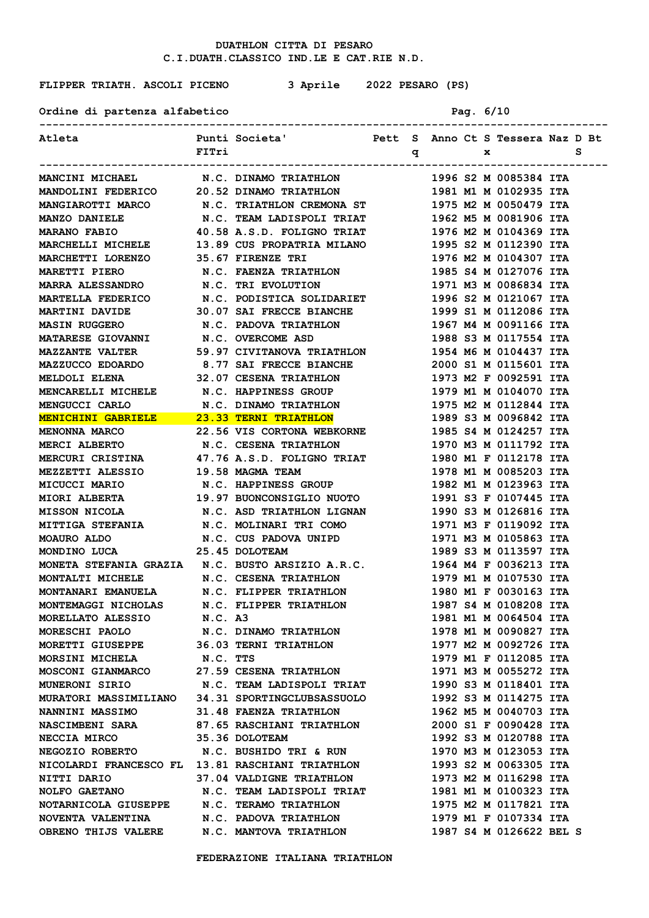**FLIPPER TRIATH. ASCOLI PICENO 3 Aprile 2022 PESARO (PS)**

Ordine di partenza alfabetico **Pag. 6/10** 

| Atleta <b>1888</b> Punti Societa' Pett S Anno Ct S Tessera Naz D Bt                                      |       |                                                 |              |  |   |                         |   |  |
|----------------------------------------------------------------------------------------------------------|-------|-------------------------------------------------|--------------|--|---|-------------------------|---|--|
|                                                                                                          | FITri |                                                 | $\mathbf{q}$ |  | x |                         | s |  |
|                                                                                                          |       |                                                 |              |  |   |                         |   |  |
| MANCINI MICHAEL N.C. DINAMO TRIATHLON                                                                    |       |                                                 |              |  |   | 1996 S2 M 0085384 ITA   |   |  |
| MANDOLINI FEDERICO 20.52 DINAMO TRIATHLON 1981 M1 M 0102935 ITA                                          |       |                                                 |              |  |   |                         |   |  |
| MANGIAROTTI MARCO N.C. TRIATHLON CREMONA ST 1975 M2 M 0050479 ITA                                        |       |                                                 |              |  |   |                         |   |  |
| MANZO DANIELE M.C. TEAM LADISPOLI TRIAT 1962 M5 M 0081906 ITA                                            |       |                                                 |              |  |   |                         |   |  |
| MARANO FABIO 40.58 A.S.D. FOLIGNO TRIAT 1976 M2 M 0104369 ITA                                            |       |                                                 |              |  |   |                         |   |  |
| MARCHELLI MICHELE 13.89 CUS PROPATRIA MILANO 1995 S2 M 0112390 ITA                                       |       |                                                 |              |  |   |                         |   |  |
| MARCHETTI LORENZO 35.67 FIRENZE TRI                                                                      |       |                                                 |              |  |   | 1976 M2 M 0104307 ITA   |   |  |
|                                                                                                          |       |                                                 |              |  |   | 1985 S4 M 0127076 ITA   |   |  |
| MARETTI PIERO                 N.C. FAENZA TRIATHLON<br>MARRA ALESSANDRO               N.C. TRI EVOLUTION |       |                                                 |              |  |   | 1971 M3 M 0086834 ITA   |   |  |
| <b>MARTELLA FEDERICO</b>                                                                                 |       | N.C. PODISTICA SOLIDARIET 1996 S2 M 0121067 ITA |              |  |   |                         |   |  |
| <b>MARTINI DAVIDE</b>                                                                                    |       | 30.07 SAI FRECCE BIANCHE                        |              |  |   | 1999 S1 M 0112086 ITA   |   |  |
| <b>MASIN RUGGERO</b>                                                                                     |       | N.C. PADOVA TRIATHLON                           |              |  |   | 1967 М4 М 0091166 ІТА   |   |  |
| MATARESE GIOVANNI                                                                                        |       | N.C. OVERCOME ASD                               |              |  |   | 1988 S3 M 0117554 ITA   |   |  |
| <b>MAZZANTE VALTER</b>                                                                                   |       | 59.97 CIVITANOVA TRIATHLON                      |              |  |   | 1954 M6 M 0104437 ITA   |   |  |
|                                                                                                          |       |                                                 |              |  |   | 2000 S1 M 0115601 ITA   |   |  |
| MAZZUCCO EDOARDO 8.77 SAI FRECCE BIANCHE<br>MELDOLI ELENA 32.07 CESENA TRIATHLON                         |       |                                                 |              |  |   | 1973 M2 F 0092591 ITA   |   |  |
| MENCARELLI MICHELE N.C. HAPPINESS GROUP                                                                  |       |                                                 |              |  |   | 1979 M1 M 0104070 ITA   |   |  |
|                                                                                                          |       |                                                 |              |  |   | 1975 M2 M 0112844 ITA   |   |  |
| MENGUCCI CARLO M.C. DINAMO TRIATHLON<br>MENICHINI GABRIELE 23.33 TERNI TRIATHLON                         |       |                                                 |              |  |   | 1989 S3 M 0096842 ITA   |   |  |
| MENONNA MARCO 22.56 VIS CORTONA WEBKORNE                                                                 |       |                                                 |              |  |   | 1985 S4 M 0124257 ITA   |   |  |
| MERCI ALBERTO N.C. CESENA TRIATHLON                                                                      |       |                                                 |              |  |   | 1970 M3 M 0111792 ITA   |   |  |
| MERCURI CRISTINA 47.76 A.S.D. FOLIGNO TRIAT 1980 M1 F 0112178 ITA                                        |       |                                                 |              |  |   |                         |   |  |
| MEZZETTI ALESSIO 19.58 MAGMA TEAM                                                                        |       |                                                 |              |  |   | 1978 M1 M 0085203 ITA   |   |  |
| <b>MICUCCI MARIO</b>                                                                                     |       | N.C. HAPPINESS GROUP                            |              |  |   | 1982 M1 M 0123963 ITA   |   |  |
| MIORI ALBERTA 19.97 BUONCONSIGLIO NUOTO 1991 S3 F 0107445 ITA                                            |       |                                                 |              |  |   |                         |   |  |
| MISSON NICOLA N.C. ASD TRIATHLON LIGNAN 1990 S3 M 0126816 ITA                                            |       |                                                 |              |  |   |                         |   |  |
| MITTIGA STEFANIA M.C. MOLINARI TRI COMO 1971 M3 F 0119092 ITA                                            |       |                                                 |              |  |   |                         |   |  |
|                                                                                                          |       |                                                 |              |  |   |                         |   |  |
|                                                                                                          |       |                                                 |              |  |   |                         |   |  |
| MONETA STEFANIA GRAZIA N.C. BUSTO ARSIZIO A.R.C. 1964 M4 F 0036213 ITA                                   |       |                                                 |              |  |   |                         |   |  |
| MONTALTI MICHELE N.C. CESENA TRIATHLON 1979 M1 M 0107530 ITA                                             |       |                                                 |              |  |   |                         |   |  |
| MONTANARI EMANUELA N.C. FLIPPER TRIATHLON                                                                |       |                                                 |              |  |   | 1980 M1 F 0030163 ITA   |   |  |
| MONTEMAGGI NICHOLAS N.C. FLIPPER TRIATHLON                                                               |       |                                                 |              |  |   | 1987 S4 M 0108208 ITA   |   |  |
| MORELLATO ALESSIO N.C. A3                                                                                |       |                                                 |              |  |   | 1981 M1 M 0064504 ITA   |   |  |
| <b>MORESCHI PAOLO</b>                                                                                    |       | N.C. DINAMO TRIATHLON                           |              |  |   | 1978 M1 M 0090827 ITA   |   |  |
| MORETTI GIUSEPPE 36.03 TERNI TRIATHLON                                                                   |       |                                                 |              |  |   | 1977 M2 M 0092726 ITA   |   |  |
| MORSINI MICHELA N.C. TTS                                                                                 |       |                                                 |              |  |   | 1979 M1 F 0112085 ITA   |   |  |
| MOSCONI GIANMARCO 27.59 CESENA TRIATHLON                                                                 |       |                                                 |              |  |   | 1971 M3 M 0055272 ITA   |   |  |
| MUNERONI SIRIO                                                                                           |       | N.C. TEAM LADISPOLI TRIAT 1990 S3 M 0118401 ITA |              |  |   |                         |   |  |
| MURATORI MASSIMILIANO 34.31 SPORTINGCLUBSASSUOLO                                                         |       |                                                 |              |  |   | 1992 S3 M 0114275 ITA   |   |  |
|                                                                                                          |       |                                                 |              |  |   | 1962 M5 M 0040703 ITA   |   |  |
|                                                                                                          |       |                                                 |              |  |   | 2000 S1 F 0090428 ITA   |   |  |
| <b>NECCIA MIRCO</b>                                                                                      |       | 35.36 DOLOTEAM                                  |              |  |   | 1992 S3 M 0120788 ITA   |   |  |
| NEGOZIO ROBERTO N.C. BUSHIDO TRI & RUN                                                                   |       |                                                 |              |  |   | 1970 M3 M 0123053 ITA   |   |  |
| NICOLARDI FRANCESCO FL 13.81 RASCHIANI TRIATHLON                                                         |       |                                                 |              |  |   | 1993 S2 M 0063305 ITA   |   |  |
| NITTI DARIO 37.04 VALDIGNE TRIATHLON                                                                     |       |                                                 |              |  |   | 1973 M2 M 0116298 ITA   |   |  |
| NOLFO GAETANO                            N.C. TEAM LADISPOLI TRIAT                 1981 M1 M 0100323 ITA |       |                                                 |              |  |   |                         |   |  |
| NOTARNICOLA GIUSEPPE N.C. TERAMO TRIATHLON                                                               |       |                                                 |              |  |   | 1975 M2 M 0117821 ITA   |   |  |
| NOVENTA VALENTINA N.C. PADOVA TRIATHLON                                                                  |       |                                                 |              |  |   | 1979 M1 F 0107334 ITA   |   |  |
| OBRENO THIJS VALERE N.C. MANTOVA TRIATHLON                                                               |       |                                                 |              |  |   | 1987 S4 M 0126622 BEL S |   |  |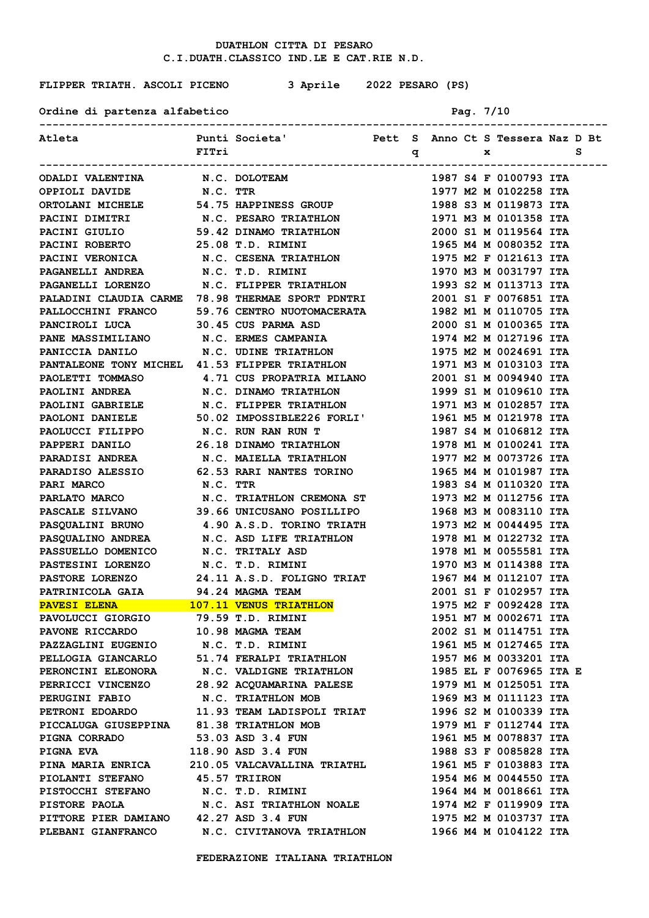**FLIPPER TRIATH. ASCOLI PICENO 3 Aprile 2022 PESARO (PS)**

Ordine di partenza alfabetico **Pag. 7/10** 

| Atleta                                                                                                                                                                                                                                 |       | Punti Societa' Nett S Anno Ct S Tessera Naz D Bt              |              |  |              |                                                |   |  |
|----------------------------------------------------------------------------------------------------------------------------------------------------------------------------------------------------------------------------------------|-------|---------------------------------------------------------------|--------------|--|--------------|------------------------------------------------|---|--|
|                                                                                                                                                                                                                                        | FITri |                                                               | $\mathbf{q}$ |  | $\mathbf{x}$ |                                                | s |  |
| ODALDI VALENTINA N.C. DOLOTEAM                                                                                                                                                                                                         |       | ----------------------                                        |              |  |              | 1987 S4 F 0100793 ITA                          |   |  |
| OPPIOLI DAVIDE N.C. TTR                                                                                                                                                                                                                |       |                                                               |              |  |              | 1977 M2 M 0102258 ITA                          |   |  |
| ORTOLANI MICHELE 54.75 HAPPINESS GROUP                                                                                                                                                                                                 |       |                                                               |              |  |              | 1988 S3 M 0119873 ITA                          |   |  |
| PACINI DIMITRI                                                                                                                                                                                                                         |       | N.C. PESARO TRIATHLON                                         |              |  |              | 1971 M3 M 0101358 ITA                          |   |  |
| PACINI GIULIO                                                                                                                                                                                                                          |       | 59.42 DINAMO TRIATHLON                                        |              |  |              | 2000 S1 M 0119564 ITA                          |   |  |
| 93.42 DINAMO TRIATHLON<br>PACINI ROBERTO 25.08 T.D. RIMINI<br>PACINI VERONICA N.C. CESENA FRECENCE                                                                                                                                     |       |                                                               |              |  |              | 1965 M4 M 0080352 ITA                          |   |  |
|                                                                                                                                                                                                                                        |       |                                                               |              |  |              |                                                |   |  |
| PAGANELLI ANDREA                                                                                                                                                                                                                       |       | N.C. CESENA TRIATHLON<br>N.C. T.D. RIMINI<br>N.C. T.D. RIMINI |              |  |              | 1975 M2 F 0121613 ITA<br>1970 M3 M 0031797 ITA |   |  |
| PAGANELLI LORENZO N.C. FLIPPER TRIATHLON                                                                                                                                                                                               |       |                                                               |              |  |              |                                                |   |  |
| PALADINI CLAUDIA CARME 78.98 THERMAE SPORT PDNTRI                                                                                                                                                                                      |       |                                                               |              |  |              | 1993 S2 M 0113713 ITA<br>2001 S1 F 0076851 ITA |   |  |
|                                                                                                                                                                                                                                        |       |                                                               |              |  |              | 1982 M1 M 0110705 ITA                          |   |  |
| PALLOCCHINI FRANCO 59.76 CENTRO NUOTOMACERATA                                                                                                                                                                                          |       |                                                               |              |  |              | 2000 S1 M 0100365 ITA                          |   |  |
| PANCIROLI LUCA 30.45 CUS PARMA ASD<br>PANE MASSIMILIANO N.C. ERMES CAMPANIA                                                                                                                                                            |       |                                                               |              |  |              | 1974 M2 M 0127196 ITA                          |   |  |
|                                                                                                                                                                                                                                        |       |                                                               |              |  |              |                                                |   |  |
| PANICCIA DANILO N.C. UDINE TRIATHLON 1975 M2 M 0024691 ITA<br>PANTALEONE TONY MICHEL 41.53 FLIPPER TRIATHLON                                                                                                                           |       |                                                               |              |  |              |                                                |   |  |
|                                                                                                                                                                                                                                        |       |                                                               |              |  |              | 1971 M3 M 0103103 ITA                          |   |  |
| PAOLETTI TOMMASO 4.71 CUS PROPATRIA MILANO 2001 S1 M 0094940 ITA                                                                                                                                                                       |       |                                                               |              |  |              |                                                |   |  |
| PAOLINI ANDREA N.C. DINAMO TRIATHLON 1999 S1 M 0109610 ITA                                                                                                                                                                             |       |                                                               |              |  |              |                                                |   |  |
| PAOLINI GABRIELE N.C. FLIPPER TRIATHLON 1971 M3 M 0102857 ITA                                                                                                                                                                          |       |                                                               |              |  |              |                                                |   |  |
| PAOLONI DANIELE 50.02 IMPOSSIBLE226 FORLI' 1961 M5 M 0121978 ITA                                                                                                                                                                       |       |                                                               |              |  |              |                                                |   |  |
| PAOLUCCI FILIPPO N.C. RUN RAN RUN T 1987 S4 M 0106812 ITA                                                                                                                                                                              |       |                                                               |              |  |              |                                                |   |  |
| PAPPERI DANILO 26.18 DINAMO TRIATHLON 1978 M1 M 0100241 ITA                                                                                                                                                                            |       |                                                               |              |  |              |                                                |   |  |
| PARADISI ANDREA N.C. MAIELLA TRIATHLON 1977 M2 M 0073726 ITA                                                                                                                                                                           |       |                                                               |              |  |              |                                                |   |  |
| PARADISO ALESSIO 62.53 RARI NANTES TORINO 1965 M4 M 0101987 ITA<br>PARI MARCO N.C. TTR                                                                                                                                                 |       |                                                               |              |  |              |                                                |   |  |
| PARLATO MARCO N.C. TRIATHLON CREMONA ST 1973 M2 M 0112756 ITA                                                                                                                                                                          |       |                                                               |              |  |              | 1983 S4 M 0110320 ITA                          |   |  |
| PASCALE SILVANO 39.66 UNICUSANO POSILLIPO 1968 M3 M 0083110 ITA                                                                                                                                                                        |       |                                                               |              |  |              |                                                |   |  |
|                                                                                                                                                                                                                                        |       |                                                               |              |  |              |                                                |   |  |
| PASQUALINI BRUNO 4.90 A.S.D. TORINO TRIATH 1973 M2 M 0044495 ITA                                                                                                                                                                       |       |                                                               |              |  |              |                                                |   |  |
|                                                                                                                                                                                                                                        |       |                                                               |              |  |              | 1978 M1 M 0122732 ITA                          |   |  |
|                                                                                                                                                                                                                                        |       |                                                               |              |  |              | 1978 M1 M 0055581 ITA                          |   |  |
|                                                                                                                                                                                                                                        |       |                                                               |              |  |              | 1970 M3 M 0114388 ITA                          |   |  |
| <b>PASTORE LORENZO</b>                                                                                                                                                                                                                 |       |                                                               |              |  |              | 1967 M4 M 0112107 ITA                          |   |  |
| PATRINICOLA GAIA<br><b>PAVESI ELENA 107.11 VENUS TRIATHLON</b>                                                                                                                                                                         |       | 24.11 A.S.D. FOLIGNO TRIAT<br>94.24 MAGMA TEAM                |              |  |              | 2001 S1 F 0102957 ITA                          |   |  |
| PAVESI ELENA 107.11 VERVO ANELESSEE PAVOLUCCI GIORGIO 79.59 T.D. RIMINI<br>PAVONE RICCARDO 10.98 MAGMA TEAM<br>PAZZAGLINI EUGENIO N.C. T.D. RIMINI<br>PELLOGIA GIANCARLO 51.74 FERALPI TRIATHLON<br>PELLOGIA GIANCARLO 51.74 FERALPI T |       |                                                               |              |  |              | 1975 M2 F 0092428 ITA                          |   |  |
|                                                                                                                                                                                                                                        |       |                                                               |              |  |              | 1951 M7 M 0002671 ITA                          |   |  |
|                                                                                                                                                                                                                                        |       |                                                               |              |  |              | 2002 S1 M 0114751 ITA                          |   |  |
|                                                                                                                                                                                                                                        |       |                                                               |              |  |              | 1961 M5 M 0127465 ITA                          |   |  |
| PELLOGIA GIANCARLO 51.74 FERALPI TRIATHLON 1957 M6 M 0033201 ITA<br>PERONCINI ELEONORA N.C. VALDIGNE TRIATHLON 1985 EL F 0076965 ITA E<br>PERRICCI VINCENZO 28.92 ACQUAMARINA PALESE 1979 M1 M 0125051 ITA<br>PERUGINI FARIO N.C. FR   |       |                                                               |              |  |              |                                                |   |  |
|                                                                                                                                                                                                                                        |       |                                                               |              |  |              |                                                |   |  |
|                                                                                                                                                                                                                                        |       |                                                               |              |  |              |                                                |   |  |
|                                                                                                                                                                                                                                        |       |                                                               |              |  |              |                                                |   |  |
|                                                                                                                                                                                                                                        |       |                                                               |              |  |              |                                                |   |  |
|                                                                                                                                                                                                                                        |       |                                                               |              |  |              |                                                |   |  |
| PICCALUGA GIUSEPPINA 81.38 TRIATHLON MOB 1979 M1 F 0112744 ITA<br>PIGNA CORRADO 53.03 ASD 3.4 FUN<br>PIGNA EVA 118.90 ASD 3.4 FUN 1988 S3 F 0085828 ITA                                                                                |       |                                                               |              |  |              |                                                |   |  |
|                                                                                                                                                                                                                                        |       |                                                               |              |  |              |                                                |   |  |
| PINA MARIA ENRICA 210.05 VALCAVALLINA TRIATHL 1961 M5 F 0103883 ITA                                                                                                                                                                    |       |                                                               |              |  |              |                                                |   |  |
| PIOLANTI STEFANO 45.57 TRIIRON                                                                                                                                                                                                         |       |                                                               |              |  |              | 1954 M6 M 0044550 ITA                          |   |  |
| PISTOCCHI STEFANO N.C. T.D. RIMINI                                                                                                                                                                                                     |       |                                                               |              |  |              | 1964 M4 M 0018661 ITA                          |   |  |
| PISTORE PAOLA N.C. ASI TRIATHLON NOALE 1974 M2 F 0119909 ITA                                                                                                                                                                           |       |                                                               |              |  |              |                                                |   |  |
| PITTORE PIER DAMIANO 42.27 ASD 3.4 FUN                                                                                                                                                                                                 |       |                                                               |              |  |              | 1975 M2 M 0103737 ITA                          |   |  |
| PLEBANI GIANFRANCO N.C. CIVITANOVA TRIATHLON 1966 M4 M 0104122 ITA                                                                                                                                                                     |       |                                                               |              |  |              |                                                |   |  |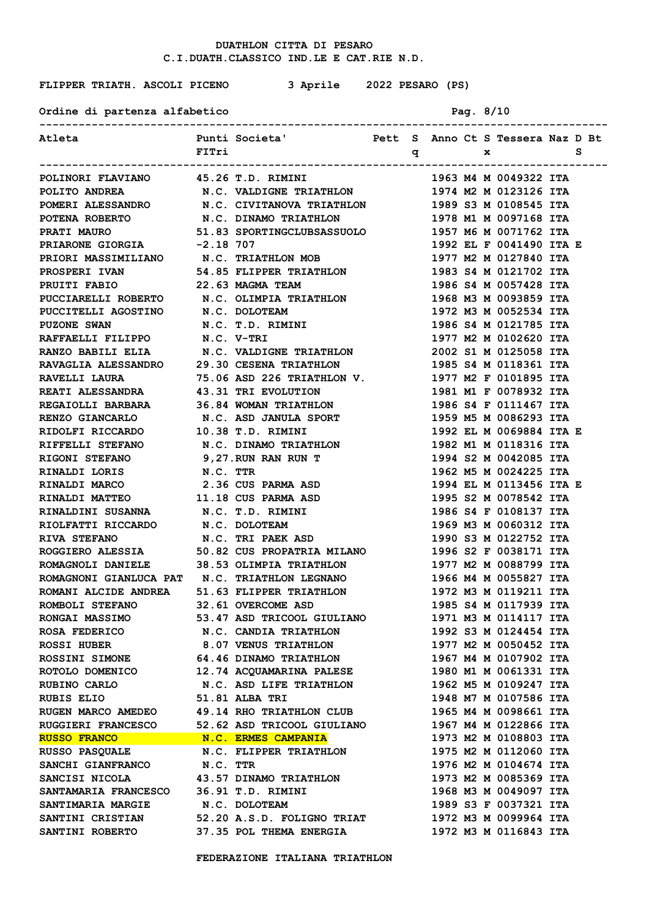**FLIPPER TRIATH. ASCOLI PICENO 3 Aprile 2022 PESARO (PS)**

# Ordine di partenza alfabetico **Pag. 8/10**

| Atleta                                                                           |          | Punti Societa' Mett S Anno Ct S Tessera Naz D Bt |                |     |  |                                                |  |
|----------------------------------------------------------------------------------|----------|--------------------------------------------------|----------------|-----|--|------------------------------------------------|--|
|                                                                                  | FITri    |                                                  |                | q x |  | <u>sanda se</u>                                |  |
|                                                                                  |          |                                                  | -------------- |     |  |                                                |  |
| POLINORI FLAVIANO 45.26 T.D. RIMINI                                              |          |                                                  |                |     |  | 1963 M4 M 0049322 ITA                          |  |
| POLITO ANDREA                                                                    |          | N.C. VALDIGNE TRIATHLON 1974 M2 M 0123126 ITA    |                |     |  |                                                |  |
| POMERI ALESSANDRO N.C. CIVITANOVA TRIATHLON 1989 S3 M 0108545 ITA                |          |                                                  |                |     |  |                                                |  |
| POTENA ROBERTO N.C. DINAMO TRIATHLON                                             |          |                                                  |                |     |  | 1978 M1 M 0097168 ITA                          |  |
| PRATI MAURO                                                                      |          | 51.83 SPORTINGCLUBSASSUOLO 1957 M6 M 0071762 ITA |                |     |  |                                                |  |
| PRIARONE GIORGIA -2.18 707                                                       |          |                                                  |                |     |  | 1992 EL F 0041490 ITA E                        |  |
| PRIORI MASSIMILIANO N.C. TRIATHLON MOB                                           |          |                                                  |                |     |  | 1977 M2 M 0127840 ITA                          |  |
| <b>PROSPERI IVAN</b>                                                             |          | 54.85 FLIPPER TRIATHLON 1983 S4 M 0121702 ITA    |                |     |  |                                                |  |
| PRUITI FABIO                                                                     |          | 22.63 MAGMA TEAM                                 |                |     |  | 1986 S4 M 0057428 ITA                          |  |
| PUCCIARELLI ROBERTO N.C. OLIMPIA TRIATHLON                                       |          |                                                  |                |     |  | 1968 M3 M 0093859 ITA                          |  |
| PUCCITELLI AGOSTINO N.C. DOLOTEAM                                                |          |                                                  |                |     |  | 1972 M3 M 0052534 ITA                          |  |
| <b>PUZONE SWAN</b>                                                               |          | N.C. T.D. RIMINI                                 |                |     |  | 1986 S4 M 0121785 ITA                          |  |
| RAFFAELLI FILIPPO N.C. V-TRI                                                     |          |                                                  |                |     |  | 1977 M2 M 0102620 ITA                          |  |
| RANZO BABILI ELIA N.C. VALDIGNE TRIATHLON 2002 S1 M 0125058 ITA                  |          |                                                  |                |     |  |                                                |  |
| RAVAGLIA ALESSANDRO 29.30 CESENA TRIATHLON                                       |          |                                                  |                |     |  | 1985 S4 M 0118361 ITA                          |  |
| <b>RAVELLI LAURA</b>                                                             |          | 75.06 ASD 226 TRIATHLON V.                       |                |     |  | 1977 M2 F 0101895 ITA                          |  |
| REATI ALESSANDRA 43.31 TRI EVOLUTION                                             |          |                                                  |                |     |  | 1981 M1 F 0078932 ITA                          |  |
| REGAIOLLI BARBARA                                                                |          | 36.84 WOMAN TRIATHLON                            |                |     |  | 1986 S4 F 0111467 ITA                          |  |
| <b>RENZO GIANCARLO</b>                                                           |          | N.C. ASD JANULA SPORT                            |                |     |  | 1959 M5 M 0086293 ITA                          |  |
| RIDOLFI RICCARDO                                                                 |          | 10.38 T.D. RIMINI                                |                |     |  | 1992 EL M 0069884 ITA E                        |  |
| <b>RIFFELLI STEFANO</b>                                                          |          | N.C. DINAMO TRIATHLON                            |                |     |  | 1982 M1 M 0118316 ITA                          |  |
| <b>RIGONI STEFANO</b>                                                            |          | 9,27.RUN RAN RUN T                               |                |     |  | 1994 S2 M 0042085 ITA                          |  |
| RINALDI LORIS                                                                    | N.C. TTR |                                                  |                |     |  | 1962 M5 M 0024225 ITA                          |  |
| <b>RINALDI MARCO</b>                                                             |          | 2.36 CUS PARMA ASD                               |                |     |  | 1994 EL M 0113456 ITA E                        |  |
| <b>RINALDI MATTEO</b>                                                            |          | 11.18 CUS PARMA ASD                              |                |     |  | 1995 S2 M 0078542 ITA                          |  |
| RINALDINI SUSANNA                                                                |          | N.C. T.D. RIMINI                                 |                |     |  | 1986 S4 F 0108137 ITA                          |  |
| RIOLFATTI RICCARDO N.C. DOLOTEAM                                                 |          |                                                  |                |     |  | 1969 M3 M 0060312 ITA                          |  |
| <b>RIVA STEFANO</b>                                                              |          | N.C. TRI PAEK ASD                                |                |     |  | 1990 S3 M 0122752 ITA                          |  |
| ROGGIERO ALESSIA 50.82 CUS PROPATRIA MILANO                                      |          |                                                  |                |     |  | 1996 S2 F 0038171 ITA                          |  |
| ROMAGNOLI DANIELE 38.53 OLIMPIA TRIATHLON                                        |          |                                                  |                |     |  | 1977 M2 M 0088799 ITA                          |  |
| ROMAGNONI GIANLUCA PAT N.C. TRIATHLON LEGNANO                                    |          |                                                  |                |     |  | 1966 M4 M 0055827 ITA                          |  |
| ROMANI ALCIDE ANDREA 51.63 FLIPPER TRIATHLON                                     |          |                                                  |                |     |  | 1972 M3 M 0119211 ITA                          |  |
| ROMBOLI STEFANO 32.61 OVERCOME ASD                                               |          |                                                  |                |     |  | 1985 S4 M 0117939 ITA                          |  |
| RONGAI MASSIMO 53.47 ASD TRICOOL GIULIANO                                        |          |                                                  |                |     |  | 1971 M3 M 0114117 ITA                          |  |
| ROSA FEDERICO M.C. CANDIA TRIATHLON                                              |          |                                                  |                |     |  | 1992 S3 M 0124454 ITA                          |  |
| ROSSI HUBER 8.07 VENUS TRIATHLON                                                 |          |                                                  |                |     |  | 1977 M2 M 0050452 ITA                          |  |
| ROSSINI SIMONE 64.46 DINAMO TRIATHLON                                            |          |                                                  |                |     |  | 1967 M4 M 0107902 ITA                          |  |
| ROTOLO DOMENICO 12.74 ACQUAMARINA PALESE<br>RUBINO CARLO N.C. ASD LIFE TRIATHLON |          |                                                  |                |     |  | 1980 M1 M 0061331 ITA                          |  |
| 51.81 ALBA TRI                                                                   |          |                                                  |                |     |  | 1962 M5 M 0109247 ITA                          |  |
| <b>RUBIS ELIO</b><br>RUGEN MARCO AMEDEO 49.14 RHO TRIATHLON CLUB                 |          |                                                  |                |     |  | 1948 M7 M 0107586 ITA<br>1965 M4 M 0098661 ITA |  |
|                                                                                  |          |                                                  |                |     |  |                                                |  |
| RUGGIERI FRANCESCO 52.62 ASD TRICOOL GIULIANO<br><b>RUSSO FRANCO</b>             |          | N.C. ERMES CAMPANIA                              |                |     |  | 1967 M4 M 0122866 ITA<br>1973 M2 M 0108803 ITA |  |
| <b>RUSSO PASQUALE</b>                                                            |          | N.C. FLIPPER TRIATHLON                           |                |     |  | 1975 M2 M 0112060 ITA                          |  |
| SANCHI GIANFRANCO                                                                | N.C. TTR |                                                  |                |     |  | 1976 M2 M 0104674 ITA                          |  |
| SANCISI NICOLA                                                                   |          | 43.57 DINAMO TRIATHLON                           |                |     |  | 1973 M2 M 0085369 ITA                          |  |
| SANTAMARIA FRANCESCO 36.91 T.D. RIMINI                                           |          |                                                  |                |     |  | 1968 M3 M 0049097 ITA                          |  |
| <b>SANTIMARIA MARGIE</b>                                                         |          | N.C. DOLOTEAM                                    |                |     |  | 1989 S3 F 0037321 ITA                          |  |
| <b>SANTINI CRISTIAN</b>                                                          |          | 52.20 A.S.D. FOLIGNO TRIAT                       |                |     |  | 1972 M3 M 0099964 ITA                          |  |
| SANTINI ROBERTO 37.35 POL THEMA ENERGIA                                          |          |                                                  |                |     |  | 1972 M3 M 0116843 ITA                          |  |
|                                                                                  |          |                                                  |                |     |  |                                                |  |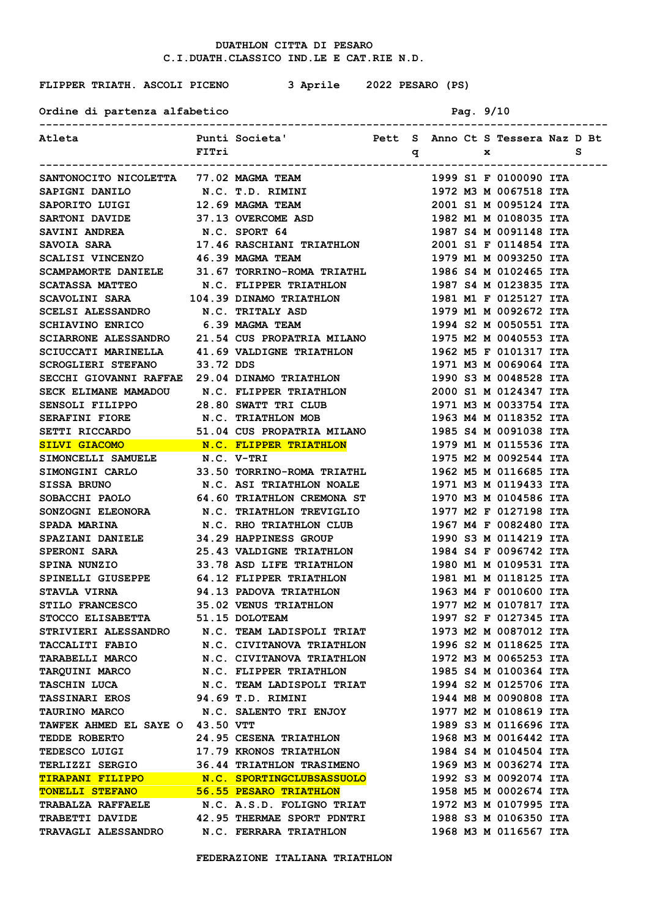**FLIPPER TRIATH. ASCOLI PICENO 3 Aprile 2022 PESARO (PS)**

Ordine di partenza alfabetico **Pag. 9/10** 

| Atleta                                                                                                                                                                                                                               |           | Punti Societa' Mett S Anno Ct S Tessera Naz D Bt |  |     |  |                       |     |  |
|--------------------------------------------------------------------------------------------------------------------------------------------------------------------------------------------------------------------------------------|-----------|--------------------------------------------------|--|-----|--|-----------------------|-----|--|
|                                                                                                                                                                                                                                      | FITri     |                                                  |  | q x |  |                       | - S |  |
|                                                                                                                                                                                                                                      |           |                                                  |  |     |  |                       |     |  |
| SANTONOCITO NICOLETTA 77.02 MAGMA TEAM                                                                                                                                                                                               |           |                                                  |  |     |  | 1999 S1 F 0100090 ITA |     |  |
| SAPIGNI DANILO N.C. T.D. RIMINI                                                                                                                                                                                                      |           |                                                  |  |     |  | 1972 M3 M 0067518 ITA |     |  |
|                                                                                                                                                                                                                                      |           |                                                  |  |     |  |                       |     |  |
| SAPORITO LUIGI<br>SARTONI DAVIDE 37.13 OVERCOME ASD 1982 M1 M 0108035 ITA<br>$\therefore$ C CDORT 64 1987 S4 M 0091148 ITA                                                                                                           |           |                                                  |  |     |  |                       |     |  |
|                                                                                                                                                                                                                                      |           |                                                  |  |     |  |                       |     |  |
| SAVOIA SARA 17.46 RASCHIANI TRIATHLON 2001 S1 F 0114854 ITA                                                                                                                                                                          |           |                                                  |  |     |  |                       |     |  |
| SCALISI VINCENZO 46.39 MAGMA TEAM                                                                                                                                                                                                    |           |                                                  |  |     |  | 1979 M1 M 0093250 ITA |     |  |
| SCAMPAMORTE DANIELE 31.67 TORRINO-ROMA TRIATHL 1986 S4 M 0102465 ITA                                                                                                                                                                 |           |                                                  |  |     |  |                       |     |  |
| <b>SCATASSA MATTEO</b>                                                                                                                                                                                                               |           | <b>N.C. FLIPPER TRIATHLON</b>                    |  |     |  | 1987 S4 M 0123835 ITA |     |  |
| SCAVOLINI SARA 104.39 DINAMO TRIATHLON                                                                                                                                                                                               |           |                                                  |  |     |  | 1981 M1 F 0125127 ITA |     |  |
| SCELSI ALESSANDRO N.C. TRITALY ASD                                                                                                                                                                                                   |           |                                                  |  |     |  | 1979 M1 M 0092672 ITA |     |  |
| SCHIAVINO ENRICO 6.39 MAGMA TEAM                                                                                                                                                                                                     |           |                                                  |  |     |  | 1994 S2 M 0050551 ITA |     |  |
| SCIARRONE ALESSANDRO 21.54 CUS PROPATRIA MILANO                                                                                                                                                                                      |           |                                                  |  |     |  | 1975 M2 M 0040553 ITA |     |  |
| SCIUCCATI MARINELLA 41.69 VALDIGNE TRIATHLON                                                                                                                                                                                         |           |                                                  |  |     |  | 1962 M5 F 0101317 ITA |     |  |
| <b>SCROGLIERI STEFANO</b>                                                                                                                                                                                                            | 33.72 DDS |                                                  |  |     |  | 1971 M3 M 0069064 ITA |     |  |
| SECCHI GIOVANNI RAFFAE 29.04 DINAMO TRIATHLON                                                                                                                                                                                        |           |                                                  |  |     |  | 1990 S3 M 0048528 ITA |     |  |
| SECK ELIMANE MAMADOU N.C. FLIPPER TRIATHLON                                                                                                                                                                                          |           |                                                  |  |     |  | 2000 S1 M 0124347 ITA |     |  |
| SENSOLI FILIPPO 28.80 SWATT TRI CLUB                                                                                                                                                                                                 |           |                                                  |  |     |  | 1971 M3 M 0033754 ITA |     |  |
|                                                                                                                                                                                                                                      |           |                                                  |  |     |  | 1963 M4 M 0118352 ITA |     |  |
| SERAFINI FIORE N.C. TRIATHLON MOB<br>SETTI RICCARDO 51.04 CUS PROPATRIA MILANO                                                                                                                                                       |           |                                                  |  |     |  | 1985 S4 M 0091038 ITA |     |  |
| SILVI GIACOMO N.C. FLIPPER TRIATHLON                                                                                                                                                                                                 |           |                                                  |  |     |  | 1979 M1 M 0115536 ITA |     |  |
| SIMONCELLI SAMUELE N.C. V-TRI                                                                                                                                                                                                        |           |                                                  |  |     |  | 1975 M2 M 0092544 ITA |     |  |
| SIMONGINI CARLO 33.50 TORRINO-ROMA TRIATHL 1962 M5 M 0116685 ITA                                                                                                                                                                     |           |                                                  |  |     |  |                       |     |  |
| SISSA BRUNO                                                                                                                                                                                                                          |           | N.C. ASI TRIATHLON NOALE                         |  |     |  | 1971 M3 M 0119433 ITA |     |  |
| SOBACCHI PAOLO 64.60 TRIATHLON CREMONA ST 1970 M3 M 0104586 ITA                                                                                                                                                                      |           |                                                  |  |     |  |                       |     |  |
| SONZOGNI ELEONORA N.C. TRIATHLON TREVIGLIO 1977 M2 F 0127198 ITA                                                                                                                                                                     |           |                                                  |  |     |  |                       |     |  |
| SPADA MARINA                                                                                                                                                                                                                         |           | N.C. RHO TRIATHLON CLUB 1967 M4 F 0082480 ITA    |  |     |  |                       |     |  |
| SPAZIANI DANIELE 34.29 HAPPINESS GROUP 1990 S3 M 0114219 ITA                                                                                                                                                                         |           |                                                  |  |     |  |                       |     |  |
|                                                                                                                                                                                                                                      |           |                                                  |  |     |  |                       |     |  |
| SPINA NUNZIO 33.78 ASD LIFE TRIATHLON 1980 M1 M 0109531 ITA                                                                                                                                                                          |           |                                                  |  |     |  |                       |     |  |
| SPINELLI GIUSEPPE 64.12 FLIPPER TRIATHLON 1981 M1 M 0118125 ITA                                                                                                                                                                      |           |                                                  |  |     |  |                       |     |  |
| STAVLA VIRNA                                                                                                                                                                                                                         |           | 94.13 PADOVA TRIATHLON                           |  |     |  | 1963 M4 F 0010600 ITA |     |  |
| STILO FRANCESCO 35.02 VENUS TRIATHLON                                                                                                                                                                                                |           |                                                  |  |     |  | 1977 M2 M 0107817 ITA |     |  |
| STOCCO ELISABETTA 51.15 DOLOTEAM                                                                                                                                                                                                     |           |                                                  |  |     |  | 1997 S2 F 0127345 ITA |     |  |
| STRIVIERI ALESSANDRO M.C. TEAM LADISPOLI TRIAT 1973 M2 M 0087012 ITA                                                                                                                                                                 |           |                                                  |  |     |  |                       |     |  |
| TACCALITI FABIO N.C. CIVITANOVA TRIATHLON 1996 S2 M 0118625 ITA                                                                                                                                                                      |           |                                                  |  |     |  |                       |     |  |
| TARABELLI MARCO N.C. CIVITANOVA TRIATHLON 1972 M3 M 0065253 ITA                                                                                                                                                                      |           |                                                  |  |     |  |                       |     |  |
| TARQUINI MARCO N.C. FLIPPER TRIATHLON                                                                                                                                                                                                |           |                                                  |  |     |  | 1985 S4 M 0100364 ITA |     |  |
| TASCHIN LUCA N.C. TEAM LADISPOLI TRIAT 1994 S2 M 0125706 ITA                                                                                                                                                                         |           |                                                  |  |     |  |                       |     |  |
| TASSINARI EROS 94.69 T.D. RIMINI                                                                                                                                                                                                     |           |                                                  |  |     |  | 1944 M8 M 0090808 ITA |     |  |
| TAURINO MARCO                                                                                                                                                                                                                        |           | N.C. SALENTO TRI ENJOY                           |  |     |  | 1977 M2 M 0108619 ITA |     |  |
| TAWFEK AHMED EL SAYE O 43.50 VTT                                                                                                                                                                                                     |           |                                                  |  |     |  | 1989 S3 M 0116696 ITA |     |  |
|                                                                                                                                                                                                                                      |           |                                                  |  |     |  |                       |     |  |
|                                                                                                                                                                                                                                      |           |                                                  |  |     |  |                       |     |  |
|                                                                                                                                                                                                                                      |           |                                                  |  |     |  |                       |     |  |
| TEDDE ROBERTO 24.95 CESENA TRIATHLON 1968 M3 M 0016442 ITA<br>TEDESCO LUIGI 17.79 KRONOS TRIATHLON 1984 S4 M 0104504 ITA<br>TERLIZZI SERGIO 36.44 TRIATHLON TRASIMENO 1969 M3 M 0036274 ITA<br>TIRAPANI FILIPPO N.C. SPORTINGCLUBSAS |           |                                                  |  |     |  |                       |     |  |
|                                                                                                                                                                                                                                      |           |                                                  |  |     |  |                       |     |  |
| TRABALZA RAFFAELE N.C. A.S.D. FOLIGNO TRIAT                                                                                                                                                                                          |           |                                                  |  |     |  | 1972 M3 M 0107995 ITA |     |  |
| TRABETTI DAVIDE 42.95 THERMAE SPORT PDNTRI 1988 S3 M 0106350 ITA                                                                                                                                                                     |           |                                                  |  |     |  |                       |     |  |
| TRAVAGLI ALESSANDRO N.C. FERRARA TRIATHLON 1968 M3 M 0116567 ITA                                                                                                                                                                     |           |                                                  |  |     |  |                       |     |  |
|                                                                                                                                                                                                                                      |           |                                                  |  |     |  |                       |     |  |